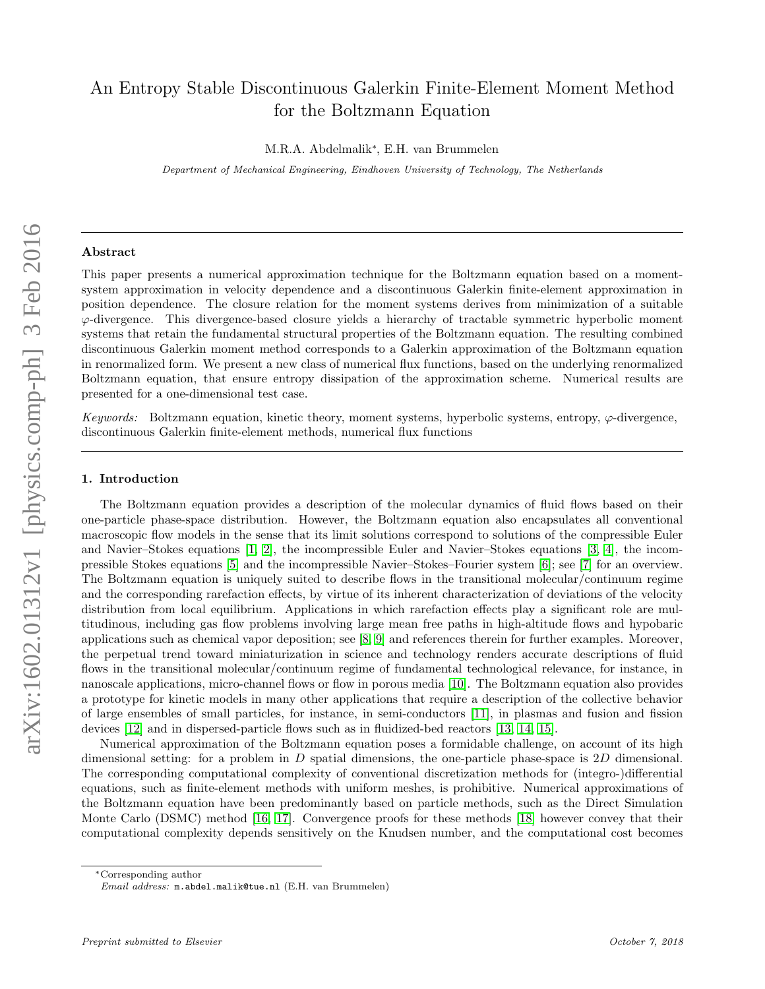# An Entropy Stable Discontinuous Galerkin Finite-Element Moment Method for the Boltzmann Equation

M.R.A. Abdelmalik<sup>∗</sup> , E.H. van Brummelen

Department of Mechanical Engineering, Eindhoven University of Technology, The Netherlands

#### Abstract

This paper presents a numerical approximation technique for the Boltzmann equation based on a momentsystem approximation in velocity dependence and a discontinuous Galerkin finite-element approximation in position dependence. The closure relation for the moment systems derives from minimization of a suitable  $\varphi$ -divergence. This divergence-based closure yields a hierarchy of tractable symmetric hyperbolic moment systems that retain the fundamental structural properties of the Boltzmann equation. The resulting combined discontinuous Galerkin moment method corresponds to a Galerkin approximation of the Boltzmann equation in renormalized form. We present a new class of numerical flux functions, based on the underlying renormalized Boltzmann equation, that ensure entropy dissipation of the approximation scheme. Numerical results are presented for a one-dimensional test case.

Keywords: Boltzmann equation, kinetic theory, moment systems, hyperbolic systems, entropy,  $\varphi$ -divergence, discontinuous Galerkin finite-element methods, numerical flux functions

## 1. Introduction

The Boltzmann equation provides a description of the molecular dynamics of fluid flows based on their one-particle phase-space distribution. However, the Boltzmann equation also encapsulates all conventional macroscopic flow models in the sense that its limit solutions correspond to solutions of the compressible Euler and Navier–Stokes equations [\[1,](#page-11-0) [2\]](#page-11-1), the incompressible Euler and Navier–Stokes equations [\[3,](#page-11-2) [4\]](#page-12-0), the incompressible Stokes equations [\[5\]](#page-12-1) and the incompressible Navier–Stokes–Fourier system [\[6\]](#page-12-2); see [\[7\]](#page-12-3) for an overview. The Boltzmann equation is uniquely suited to describe flows in the transitional molecular/continuum regime and the corresponding rarefaction effects, by virtue of its inherent characterization of deviations of the velocity distribution from local equilibrium. Applications in which rarefaction effects play a significant role are multitudinous, including gas flow problems involving large mean free paths in high-altitude flows and hypobaric applications such as chemical vapor deposition; see [\[8,](#page-12-4) [9\]](#page-12-5) and references therein for further examples. Moreover, the perpetual trend toward miniaturization in science and technology renders accurate descriptions of fluid flows in the transitional molecular/continuum regime of fundamental technological relevance, for instance, in nanoscale applications, micro-channel flows or flow in porous media [\[10\]](#page-12-6). The Boltzmann equation also provides a prototype for kinetic models in many other applications that require a description of the collective behavior of large ensembles of small particles, for instance, in semi-conductors [\[11\]](#page-12-7), in plasmas and fusion and fission devices [\[12\]](#page-12-8) and in dispersed-particle flows such as in fluidized-bed reactors [\[13,](#page-12-9) [14,](#page-12-10) [15\]](#page-12-11).

Numerical approximation of the Boltzmann equation poses a formidable challenge, on account of its high dimensional setting: for a problem in  $D$  spatial dimensions, the one-particle phase-space is  $2D$  dimensional. The corresponding computational complexity of conventional discretization methods for (integro-)differential equations, such as finite-element methods with uniform meshes, is prohibitive. Numerical approximations of the Boltzmann equation have been predominantly based on particle methods, such as the Direct Simulation Monte Carlo (DSMC) method [\[16,](#page-12-12) [17\]](#page-12-13). Convergence proofs for these methods [\[18\]](#page-12-14) however convey that their computational complexity depends sensitively on the Knudsen number, and the computational cost becomes

<sup>∗</sup>Corresponding author

Email address: m.abdel.malik@tue.nl (E.H. van Brummelen)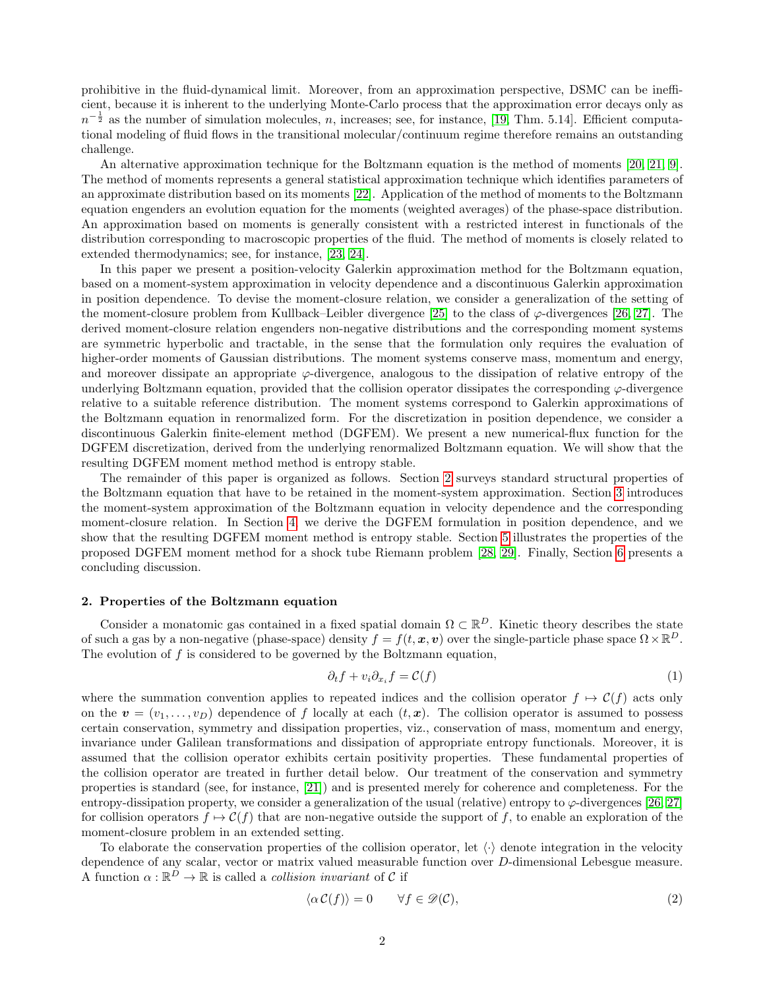prohibitive in the fluid-dynamical limit. Moreover, from an approximation perspective, DSMC can be inefficient, because it is inherent to the underlying Monte-Carlo process that the approximation error decays only as  $n^{-\frac{1}{2}}$  as the number of simulation molecules, n, increases; see, for instance, [\[19,](#page-12-15) Thm. 5.14]. Efficient computational modeling of fluid flows in the transitional molecular/continuum regime therefore remains an outstanding challenge.

An alternative approximation technique for the Boltzmann equation is the method of moments [\[20,](#page-12-16) [21,](#page-12-17) [9\]](#page-12-5). The method of moments represents a general statistical approximation technique which identifies parameters of an approximate distribution based on its moments [\[22\]](#page-12-18). Application of the method of moments to the Boltzmann equation engenders an evolution equation for the moments (weighted averages) of the phase-space distribution. An approximation based on moments is generally consistent with a restricted interest in functionals of the distribution corresponding to macroscopic properties of the fluid. The method of moments is closely related to extended thermodynamics; see, for instance, [\[23,](#page-12-19) [24\]](#page-12-20).

In this paper we present a position-velocity Galerkin approximation method for the Boltzmann equation, based on a moment-system approximation in velocity dependence and a discontinuous Galerkin approximation in position dependence. To devise the moment-closure relation, we consider a generalization of the setting of the moment-closure problem from Kullback–Leibler divergence [\[25\]](#page-12-21) to the class of  $\varphi$ -divergences [\[26,](#page-12-22) [27\]](#page-13-0). The derived moment-closure relation engenders non-negative distributions and the corresponding moment systems are symmetric hyperbolic and tractable, in the sense that the formulation only requires the evaluation of higher-order moments of Gaussian distributions. The moment systems conserve mass, momentum and energy, and moreover dissipate an appropriate  $\varphi$ -divergence, analogous to the dissipation of relative entropy of the underlying Boltzmann equation, provided that the collision operator dissipates the corresponding  $\varphi$ -divergence relative to a suitable reference distribution. The moment systems correspond to Galerkin approximations of the Boltzmann equation in renormalized form. For the discretization in position dependence, we consider a discontinuous Galerkin finite-element method (DGFEM). We present a new numerical-flux function for the DGFEM discretization, derived from the underlying renormalized Boltzmann equation. We will show that the resulting DGFEM moment method method is entropy stable.

The remainder of this paper is organized as follows. Section [2](#page-1-0) surveys standard structural properties of the Boltzmann equation that have to be retained in the moment-system approximation. Section [3](#page-3-0) introduces the moment-system approximation of the Boltzmann equation in velocity dependence and the corresponding moment-closure relation. In Section [4,](#page-6-0) we derive the DGFEM formulation in position dependence, and we show that the resulting DGFEM moment method is entropy stable. Section [5](#page-8-0) illustrates the properties of the proposed DGFEM moment method for a shock tube Riemann problem [\[28,](#page-13-1) [29\]](#page-13-2). Finally, Section [6](#page-9-0) presents a concluding discussion.

### <span id="page-1-0"></span>2. Properties of the Boltzmann equation

Consider a monatomic gas contained in a fixed spatial domain  $\Omega \subset \mathbb{R}^D$ . Kinetic theory describes the state of such a gas by a non-negative (phase-space) density  $f = f(t, x, v)$  over the single-particle phase space  $\Omega \times \mathbb{R}^D$ . The evolution of f is considered to be governed by the Boltzmann equation,

<span id="page-1-1"></span>
$$
\partial_t f + v_i \partial_{x_i} f = \mathcal{C}(f) \tag{1}
$$

where the summation convention applies to repeated indices and the collision operator  $f \mapsto \mathcal{C}(f)$  acts only on the  $v = (v_1, \ldots, v_D)$  dependence of f locally at each  $(t, x)$ . The collision operator is assumed to possess certain conservation, symmetry and dissipation properties, viz., conservation of mass, momentum and energy, invariance under Galilean transformations and dissipation of appropriate entropy functionals. Moreover, it is assumed that the collision operator exhibits certain positivity properties. These fundamental properties of the collision operator are treated in further detail below. Our treatment of the conservation and symmetry properties is standard (see, for instance, [\[21\]](#page-12-17)) and is presented merely for coherence and completeness. For the entropy-dissipation property, we consider a generalization of the usual (relative) entropy to  $\varphi$ -divergences [\[26,](#page-12-22) [27\]](#page-13-0) for collision operators  $f \mapsto \mathcal{C}(f)$  that are non-negative outside the support of f, to enable an exploration of the moment-closure problem in an extended setting.

To elaborate the conservation properties of the collision operator, let  $\langle \cdot \rangle$  denote integration in the velocity dependence of any scalar, vector or matrix valued measurable function over D-dimensional Lebesgue measure. A function  $\alpha : \mathbb{R}^D \to \mathbb{R}$  is called a *collision invariant* of C if

$$
\langle \alpha \mathcal{C}(f) \rangle = 0 \qquad \forall f \in \mathcal{D}(\mathcal{C}), \tag{2}
$$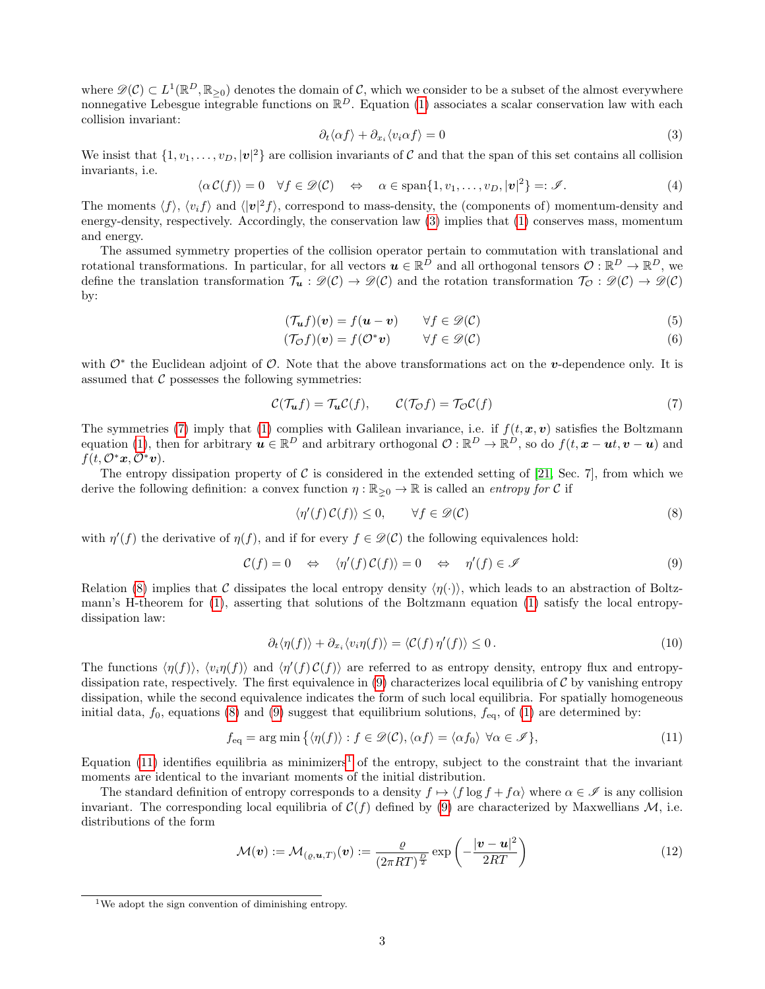where  $\mathscr{D}(\mathcal{C}) \subset L^1(\mathbb{R}^D, \mathbb{R}_{\geq 0})$  denotes the domain of  $\mathcal{C}$ , which we consider to be a subset of the almost everywhere nonnegative Lebesgue integrable functions on  $\mathbb{R}^D$ . Equation [\(1\)](#page-1-1) associates a scalar conservation law with each collision invariant:

$$
\partial_t \langle \alpha f \rangle + \partial_{x_i} \langle v_i \alpha f \rangle = 0 \tag{3}
$$

We insist that  $\{1, v_1, \ldots, v_D, |\mathbf{v}|^2\}$  are collision invariants of C and that the span of this set contains all collision invariants, i.e.

<span id="page-2-0"></span>
$$
\langle \alpha \mathcal{C}(f) \rangle = 0 \quad \forall f \in \mathscr{D}(\mathcal{C}) \quad \Leftrightarrow \quad \alpha \in \text{span}\{1, v_1, \dots, v_D, |\mathbf{v}|^2\} =: \mathscr{I}.
$$
 (4)

The moments  $\langle f \rangle$ ,  $\langle v_i f \rangle$  and  $\langle v_i | v_j \rangle$ , correspond to mass-density, the (components of) momentum-density and energy-density, respectively. Accordingly, the conservation law [\(3\)](#page-2-0) implies that [\(1\)](#page-1-1) conserves mass, momentum and energy.

The assumed symmetry properties of the collision operator pertain to commutation with translational and rotational transformations. In particular, for all vectors  $u \in \mathbb{R}^D$  and all orthogonal tensors  $\mathcal{O}: \mathbb{R}^D \to \mathbb{R}^D$ , we define the translation transformation  $\mathcal{T}_u : \mathcal{D}(\mathcal{C}) \to \mathcal{D}(\mathcal{C})$  and the rotation transformation  $\mathcal{T}_{\mathcal{O}} : \mathcal{D}(\mathcal{C}) \to \mathcal{D}(\mathcal{C})$ by:

<span id="page-2-7"></span><span id="page-2-6"></span>
$$
(\mathcal{T}_{\mathbf{u}}f)(\mathbf{v}) = f(\mathbf{u} - \mathbf{v}) \qquad \forall f \in \mathscr{D}(\mathcal{C})
$$
\n<sup>(5)</sup>

<span id="page-2-1"></span>
$$
(\mathcal{T}_{\mathcal{O}}f)(\mathbf{v}) = f(\mathcal{O}^*\mathbf{v}) \qquad \forall f \in \mathscr{D}(\mathcal{C})
$$
 (6)

with  $\mathcal{O}^*$  the Euclidean adjoint of  $\mathcal{O}$ . Note that the above transformations act on the v-dependence only. It is assumed that  $\mathcal C$  possesses the following symmetries:

$$
\mathcal{C}(\mathcal{T}_{\mathbf{u}}f) = \mathcal{T}_{\mathbf{u}}\mathcal{C}(f), \qquad \mathcal{C}(\mathcal{T}_{\mathcal{O}}f) = \mathcal{T}_{\mathcal{O}}\mathcal{C}(f) \tag{7}
$$

The symmetries [\(7\)](#page-2-1) imply that [\(1\)](#page-1-1) complies with Galilean invariance, i.e. if  $f(t, x, v)$  satisfies the Boltzmann equation [\(1\)](#page-1-1), then for arbitrary  $u \in \mathbb{R}^D$  and arbitrary orthogonal  $\mathcal{O}: \mathbb{R}^D \to \mathbb{R}^D$ , so do  $f(t, x - ut, v - u)$  and  $f(t, \mathcal{O}^*x, \mathcal{O}^*v).$ 

The entropy dissipation property of  $C$  is considered in the extended setting of [\[21,](#page-12-17) Sec. 7], from which we derive the following definition: a convex function  $\eta : \mathbb{R}_{\geq 0} \to \mathbb{R}$  is called an *entropy for* C if

<span id="page-2-3"></span><span id="page-2-2"></span>
$$
\langle \eta'(f) \mathcal{C}(f) \rangle \le 0, \qquad \forall f \in \mathcal{D}(\mathcal{C})
$$
\n(8)

with  $\eta'(f)$  the derivative of  $\eta(f)$ , and if for every  $f \in \mathcal{D}(\mathcal{C})$  the following equivalences hold:

$$
\mathcal{C}(f) = 0 \quad \Leftrightarrow \quad \langle \eta'(f) \, \mathcal{C}(f) \rangle = 0 \quad \Leftrightarrow \quad \eta'(f) \in \mathscr{I} \tag{9}
$$

Relation [\(8\)](#page-2-2) implies that C dissipates the local entropy density  $\langle \eta(\cdot) \rangle$ , which leads to an abstraction of Boltzmann's H-theorem for [\(1\)](#page-1-1), asserting that solutions of the Boltzmann equation [\(1\)](#page-1-1) satisfy the local entropydissipation law:

<span id="page-2-4"></span>
$$
\partial_t \langle \eta(f) \rangle + \partial_{x_i} \langle v_i \eta(f) \rangle = \langle \mathcal{C}(f) \eta'(f) \rangle \le 0. \tag{10}
$$

The functions  $\langle \eta(f) \rangle$ ,  $\langle v_i \eta(f) \rangle$  and  $\langle \eta'(f) \mathcal{C}(f) \rangle$  are referred to as entropy density, entropy flux and entropy-dissipation rate, respectively. The first equivalence in [\(9\)](#page-2-3) characterizes local equilibria of  $\mathcal C$  by vanishing entropy dissipation, while the second equivalence indicates the form of such local equilibria. For spatially homogeneous initial data,  $f_0$ , equations [\(8\)](#page-2-2) and [\(9\)](#page-2-3) suggest that equilibrium solutions,  $f_{eq}$ , of [\(1\)](#page-1-1) are determined by:

$$
f_{\text{eq}} = \arg \min \left\{ \langle \eta(f) \rangle : f \in \mathcal{D}(\mathcal{C}), \langle \alpha f \rangle = \langle \alpha f_0 \rangle \ \forall \alpha \in \mathcal{I} \right\},\tag{11}
$$

Equation  $(11)$  identifies equilibria as minimizers<sup>[1](#page-2-5)</sup> of the entropy, subject to the constraint that the invariant moments are identical to the invariant moments of the initial distribution.

The standard definition of entropy corresponds to a density  $f \mapsto \langle f \log f + f \alpha \rangle$  where  $\alpha \in \mathcal{I}$  is any collision invariant. The corresponding local equilibria of  $C(f)$  defined by [\(9\)](#page-2-3) are characterized by Maxwellians M, i.e. distributions of the form

<span id="page-2-8"></span>
$$
\mathcal{M}(\boldsymbol{v}) := \mathcal{M}_{(\varrho,\boldsymbol{u},T)}(\boldsymbol{v}) := \frac{\varrho}{(2\pi RT)^{\frac{D}{2}}}\exp\left(-\frac{|\boldsymbol{v}-\boldsymbol{u}|^2}{2RT}\right) \tag{12}
$$

<span id="page-2-5"></span><sup>1</sup>We adopt the sign convention of diminishing entropy.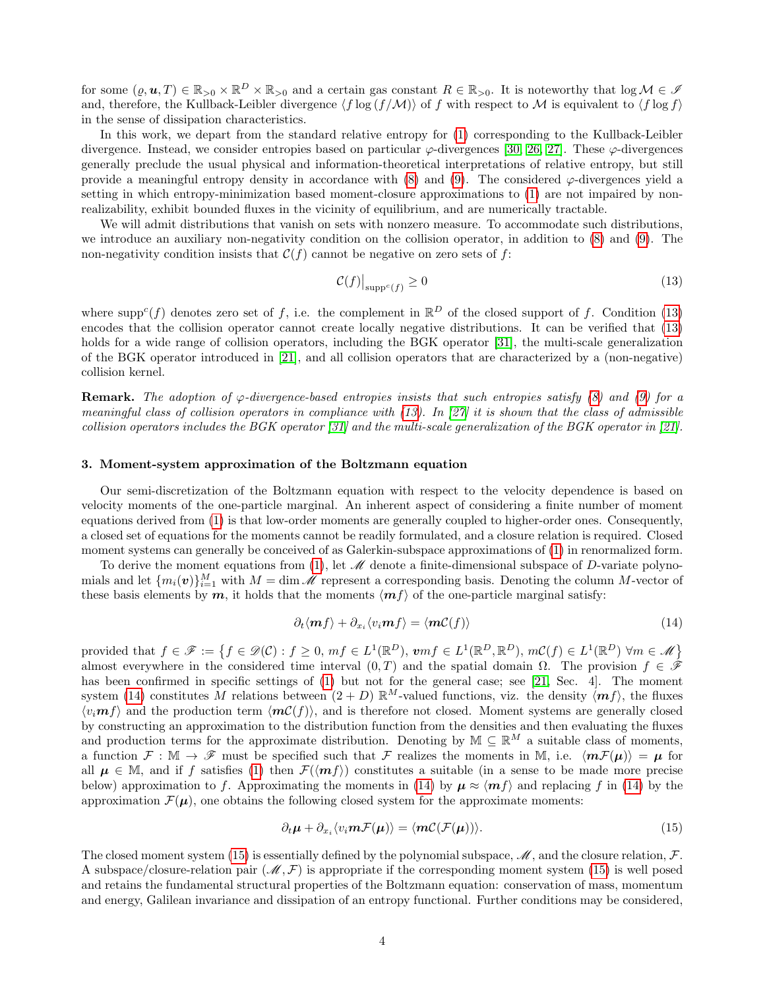for some  $(\varrho, \mathbf{u}, T) \in \mathbb{R}_{>0} \times \mathbb{R}^D \times \mathbb{R}_{>0}$  and a certain gas constant  $R \in \mathbb{R}_{>0}$ . It is noteworthy that  $\log \mathcal{M} \in \mathcal{I}$ and, therefore, the Kullback-Leibler divergence  $\langle f \log (f / \mathcal{M}) \rangle$  of f with respect to M is equivalent to  $\langle f \log f \rangle$ in the sense of dissipation characteristics.

In this work, we depart from the standard relative entropy for [\(1\)](#page-1-1) corresponding to the Kullback-Leibler divergence. Instead, we consider entropies based on particular  $\varphi$ -divergences [\[30,](#page-13-3) [26,](#page-12-22) [27\]](#page-13-0). These  $\varphi$ -divergences generally preclude the usual physical and information-theoretical interpretations of relative entropy, but still provide a meaningful entropy density in accordance with  $(8)$  and  $(9)$ . The considered  $\varphi$ -divergences yield a setting in which entropy-minimization based moment-closure approximations to [\(1\)](#page-1-1) are not impaired by nonrealizability, exhibit bounded fluxes in the vicinity of equilibrium, and are numerically tractable.

We will admit distributions that vanish on sets with nonzero measure. To accommodate such distributions, we introduce an auxiliary non-negativity condition on the collision operator, in addition to [\(8\)](#page-2-2) and [\(9\)](#page-2-3). The non-negativity condition insists that  $\mathcal{C}(f)$  cannot be negative on zero sets of f:

<span id="page-3-1"></span>
$$
\mathcal{C}(f)|_{\text{supp}^c(f)} \ge 0\tag{13}
$$

where supp<sup>c</sup>(f) denotes zero set of f, i.e. the complement in  $\mathbb{R}^D$  of the closed support of f. Condition [\(13\)](#page-3-1) encodes that the collision operator cannot create locally negative distributions. It can be verified that [\(13\)](#page-3-1) holds for a wide range of collision operators, including the BGK operator [\[31\]](#page-13-4), the multi-scale generalization of the BGK operator introduced in [\[21\]](#page-12-17), and all collision operators that are characterized by a (non-negative) collision kernel.

**Remark.** The adoption of  $\varphi$ -divergence-based entropies insists that such entropies satisfy [\(8\)](#page-2-2) and [\(9\)](#page-2-3) for a meaningful class of collision operators in compliance with  $(13)$ . In [\[27\]](#page-13-0) it is shown that the class of admissible collision operators includes the BGK operator [\[31\]](#page-13-4) and the multi-scale generalization of the BGK operator in [\[21\]](#page-12-17).

## <span id="page-3-0"></span>3. Moment-system approximation of the Boltzmann equation

Our semi-discretization of the Boltzmann equation with respect to the velocity dependence is based on velocity moments of the one-particle marginal. An inherent aspect of considering a finite number of moment equations derived from [\(1\)](#page-1-1) is that low-order moments are generally coupled to higher-order ones. Consequently, a closed set of equations for the moments cannot be readily formulated, and a closure relation is required. Closed moment systems can generally be conceived of as Galerkin-subspace approximations of [\(1\)](#page-1-1) in renormalized form.

To derive the moment equations from [\(1\)](#page-1-1), let  $\mathcal M$  denote a finite-dimensional subspace of D-variate polynomials and let  $\{m_i(\boldsymbol{v})\}_{i=1}^M$  with  $M = \dim \mathcal{M}$  represent a corresponding basis. Denoting the column M-vector of these basis elements by  $m$ , it holds that the moments  $\langle mf \rangle$  of the one-particle marginal satisfy:

<span id="page-3-2"></span>
$$
\partial_t \langle \mathbf{m} f \rangle + \partial_{x_i} \langle v_i \mathbf{m} f \rangle = \langle \mathbf{m} \mathcal{C}(f) \rangle \tag{14}
$$

provided that  $f \in \mathscr{F} := \{ f \in \mathscr{D}(\mathcal{C}) : f \geq 0, mf \in L^1(\mathbb{R}^D), \mathbf{v}mf \in L^1(\mathbb{R}^D, \mathbb{R}^D), m\mathcal{C}(f) \in L^1(\mathbb{R}^D) \ \forall m \in \mathscr{M} \}$ almost everywhere in the considered time interval  $(0, T)$  and the spatial domain  $\Omega$ . The provision  $f \in \hat{\mathscr{F}}$ has been confirmed in specific settings of [\(1\)](#page-1-1) but not for the general case; see [\[21,](#page-12-17) Sec. 4]. The moment system [\(14\)](#page-3-2) constitutes M relations between  $(2 + D) \mathbb{R}^M$ -valued functions, viz. the density  $\langle \mathbf{m} f \rangle$ , the fluxes  $\langle v_i, f \rangle$  and the production term  $\langle mC(f) \rangle$ , and is therefore not closed. Moment systems are generally closed by constructing an approximation to the distribution function from the densities and then evaluating the fluxes and production terms for the approximate distribution. Denoting by  $\mathbb{M} \subseteq \mathbb{R}^M$  a suitable class of moments, a function  $\mathcal{F} : \mathbb{M} \to \mathscr{F}$  must be specified such that F realizes the moments in M, i.e.  $\langle mF(\mu) \rangle = \mu$  for all  $\mu \in \mathbb{M}$ , and if f satisfies [\(1\)](#page-1-1) then  $\mathcal{F}(\langle \mathbf{m} f \rangle)$  constitutes a suitable (in a sense to be made more precise below) approximation to f. Approximating the moments in [\(14\)](#page-3-2) by  $\mu \approx \langle mf \rangle$  and replacing f in (14) by the approximation  $\mathcal{F}(\mu)$ , one obtains the following closed system for the approximate moments:

<span id="page-3-3"></span>
$$
\partial_t \mu + \partial_{x_i} \langle v_i m \mathcal{F}(\mu) \rangle = \langle m \mathcal{C}(\mathcal{F}(\mu)) \rangle. \tag{15}
$$

The closed moment system [\(15\)](#page-3-3) is essentially defined by the polynomial subspace,  $\mathcal{M}$ , and the closure relation,  $\mathcal{F}$ . A subspace/closure-relation pair  $(M, \mathcal{F})$  is appropriate if the corresponding moment system [\(15\)](#page-3-3) is well posed and retains the fundamental structural properties of the Boltzmann equation: conservation of mass, momentum and energy, Galilean invariance and dissipation of an entropy functional. Further conditions may be considered,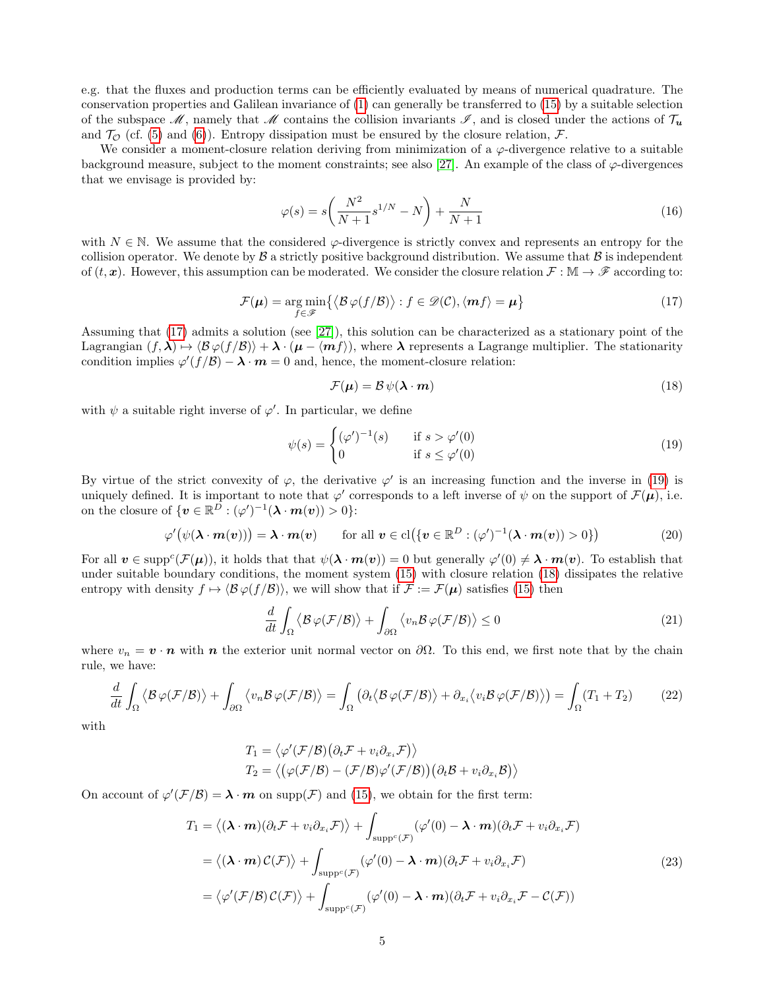e.g. that the fluxes and production terms can be efficiently evaluated by means of numerical quadrature. The conservation properties and Galilean invariance of [\(1\)](#page-1-1) can generally be transferred to [\(15\)](#page-3-3) by a suitable selection of the subspace  $\mathcal{M}$ , namely that  $\mathcal{M}$  contains the collision invariants  $\mathcal{I}$ , and is closed under the actions of  $\mathcal{T}_u$ and  $\mathcal{T}_{\mathcal{O}}$  (cf. [\(5\)](#page-2-6) and [\(6\)](#page-2-7)). Entropy dissipation must be ensured by the closure relation,  $\mathcal{F}$ .

We consider a moment-closure relation deriving from minimization of a  $\varphi$ -divergence relative to a suitable background measure, subject to the moment constraints; see also [\[27\]](#page-13-0). An example of the class of  $\varphi$ -divergences that we envisage is provided by:

<span id="page-4-6"></span>
$$
\varphi(s) = s \left( \frac{N^2}{N+1} s^{1/N} - N \right) + \frac{N}{N+1} \tag{16}
$$

<span id="page-4-0"></span>with  $N \in \mathbb{N}$ . We assume that the considered  $\varphi$ -divergence is strictly convex and represents an entropy for the collision operator. We denote by  $\beta$  a strictly positive background distribution. We assume that  $\beta$  is independent of  $(t, x)$ . However, this assumption can be moderated. We consider the closure relation  $\mathcal{F}: \mathbb{M} \to \mathscr{F}$  according to:

$$
\mathcal{F}(\boldsymbol{\mu}) = \underset{f \in \mathcal{F}}{\arg \min} \{ \langle \mathcal{B} \varphi(f/\mathcal{B}) \rangle : f \in \mathcal{D}(\mathcal{C}), \langle \boldsymbol{m}f \rangle = \boldsymbol{\mu} \} \tag{17}
$$

Assuming that [\(17\)](#page-4-0) admits a solution (see [\[27\]](#page-13-0)), this solution can be characterized as a stationary point of the Lagrangian  $(f, \lambda) \mapsto \langle \mathcal{B} \varphi(f / \mathcal{B}) \rangle + \lambda \cdot (\mu - \langle \mathbf{m} f \rangle)$ , where  $\lambda$  represents a Lagrange multiplier. The stationarity condition implies  $\varphi'(f/\mathcal{B}) - \lambda \cdot m = 0$  and, hence, the moment-closure relation:

<span id="page-4-2"></span><span id="page-4-1"></span>
$$
\mathcal{F}(\mu) = \mathcal{B}\psi(\lambda \cdot \boldsymbol{m})\tag{18}
$$

with  $\psi$  a suitable right inverse of  $\varphi'$ . In particular, we define

$$
\psi(s) = \begin{cases}\n(\varphi')^{-1}(s) & \text{if } s > \varphi'(0) \\
0 & \text{if } s \le \varphi'(0)\n\end{cases}
$$
\n(19)

By virtue of the strict convexity of  $\varphi$ , the derivative  $\varphi'$  is an increasing function and the inverse in [\(19\)](#page-4-1) is uniquely defined. It is important to note that  $\varphi'$  corresponds to a left inverse of  $\psi$  on the support of  $\mathcal{F}(\mu)$ , i.e. on the closure of  $\{v \in \mathbb{R}^D : (\varphi')^{-1}(\lambda \cdot m(v)) > 0\}$ :

$$
\varphi'(\psi(\boldsymbol{\lambda}\cdot\boldsymbol{m}(v))) = \boldsymbol{\lambda}\cdot\boldsymbol{m}(v) \qquad \text{for all } \boldsymbol{v} \in \mathrm{cl}(\{\boldsymbol{v}\in\mathbb{R}^D : (\varphi')^{-1}(\boldsymbol{\lambda}\cdot\boldsymbol{m}(v)) > 0\}) \tag{20}
$$

For all  $v \in \text{supp}^c(\mathcal{F}(\mu))$ , it holds that that  $\psi(\lambda \cdot m(v)) = 0$  but generally  $\varphi'(0) \neq \lambda \cdot m(v)$ . To establish that under suitable boundary conditions, the moment system [\(15\)](#page-3-3) with closure relation [\(18\)](#page-4-2) dissipates the relative entropy with density  $f \mapsto \langle \mathcal{B} \varphi(f / \mathcal{B}) \rangle$ , we will show that if  $\mathcal{F} := \mathcal{F}(\mu)$  satisfies [\(15\)](#page-3-3) then

<span id="page-4-5"></span>
$$
\frac{d}{dt} \int_{\Omega} \langle \mathcal{B} \varphi(\mathcal{F}/\mathcal{B}) \rangle + \int_{\partial \Omega} \langle v_n \mathcal{B} \varphi(\mathcal{F}/\mathcal{B}) \rangle \le 0 \tag{21}
$$

where  $v_n = v \cdot n$  with n the exterior unit normal vector on  $\partial\Omega$ . To this end, we first note that by the chain rule, we have:

<span id="page-4-4"></span>
$$
\frac{d}{dt} \int_{\Omega} \langle \mathcal{B} \varphi(\mathcal{F}/\mathcal{B}) \rangle + \int_{\partial \Omega} \langle v_n \mathcal{B} \varphi(\mathcal{F}/\mathcal{B}) \rangle = \int_{\Omega} \left( \partial_t \langle \mathcal{B} \varphi(\mathcal{F}/\mathcal{B}) \rangle + \partial_{x_i} \langle v_i \mathcal{B} \varphi(\mathcal{F}/\mathcal{B}) \rangle \right) = \int_{\Omega} (T_1 + T_2) \tag{22}
$$

with

<span id="page-4-3"></span>
$$
T_1 = \langle \varphi'(\mathcal{F}/\mathcal{B}) (\partial_t \mathcal{F} + v_i \partial_{x_i} \mathcal{F}) \rangle
$$
  
\n
$$
T_2 = \langle (\varphi(\mathcal{F}/\mathcal{B}) - (\mathcal{F}/\mathcal{B}) \varphi'(\mathcal{F}/\mathcal{B}) ) (\partial_t \mathcal{B} + v_i \partial_{x_i} \mathcal{B}) \rangle
$$

On account of  $\varphi'(\mathcal{F}/\mathcal{B}) = \lambda \cdot m$  on supp $(\mathcal{F})$  and [\(15\)](#page-3-3), we obtain for the first term:

$$
T_1 = \langle (\lambda \cdot \mathbf{m})(\partial_t \mathcal{F} + v_i \partial_{x_i} \mathcal{F}) \rangle + \int_{\text{supp}^c(\mathcal{F})} (\varphi'(0) - \lambda \cdot \mathbf{m})(\partial_t \mathcal{F} + v_i \partial_{x_i} \mathcal{F})
$$
  
\n
$$
= \langle (\lambda \cdot \mathbf{m}) \mathcal{C}(\mathcal{F}) \rangle + \int_{\text{supp}^c(\mathcal{F})} (\varphi'(0) - \lambda \cdot \mathbf{m})(\partial_t \mathcal{F} + v_i \partial_{x_i} \mathcal{F})
$$
(23)  
\n
$$
= \langle \varphi'(\mathcal{F}/\mathcal{B}) \mathcal{C}(\mathcal{F}) \rangle + \int_{\text{supp}^c(\mathcal{F})} (\varphi'(0) - \lambda \cdot \mathbf{m})(\partial_t \mathcal{F} + v_i \partial_{x_i} \mathcal{F} - \mathcal{C}(\mathcal{F}))
$$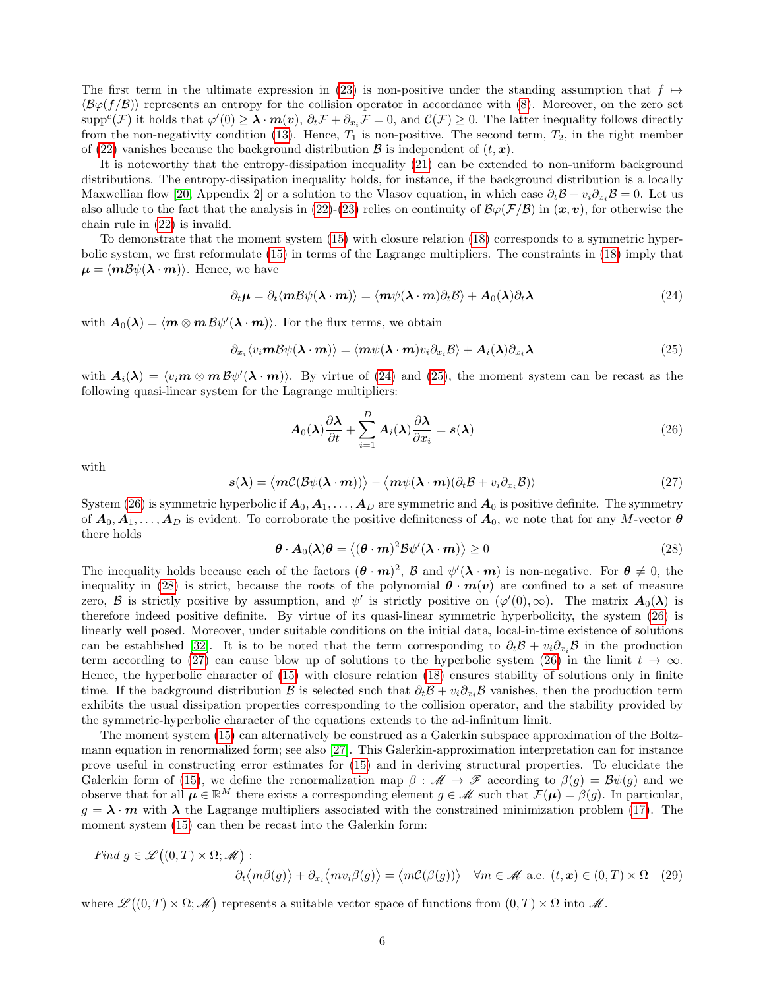The first term in the ultimate expression in [\(23\)](#page-4-3) is non-positive under the standing assumption that  $f \mapsto$  $\langle B\varphi(f/\beta)\rangle$  represents an entropy for the collision operator in accordance with [\(8\)](#page-2-2). Moreover, on the zero set  $\text{supp}^c(\mathcal{F})$  it holds that  $\varphi'(0) \geq \lambda \cdot m(v)$ ,  $\partial_t \mathcal{F} + \partial_{x_i} \mathcal{F} = 0$ , and  $\mathcal{C}(\mathcal{F}) \geq 0$ . The latter inequality follows directly from the non-negativity condition [\(13\)](#page-3-1). Hence,  $T_1$  is non-positive. The second term,  $T_2$ , in the right member of [\(22\)](#page-4-4) vanishes because the background distribution  $\mathcal{B}$  is independent of  $(t, x)$ .

It is noteworthy that the entropy-dissipation inequality [\(21\)](#page-4-5) can be extended to non-uniform background distributions. The entropy-dissipation inequality holds, for instance, if the background distribution is a locally Maxwellian flow [\[20,](#page-12-16) Appendix 2] or a solution to the Vlasov equation, in which case  $\partial_t \mathcal{B} + v_i \partial_x \mathcal{B} = 0$ . Let us also allude to the fact that the analysis in [\(22\)](#page-4-4)-[\(23\)](#page-4-3) relies on continuity of  $\mathcal{B}\varphi(\mathcal{F}/\mathcal{B})$  in  $(\mathbf{x}, \mathbf{v})$ , for otherwise the chain rule in [\(22\)](#page-4-4) is invalid.

To demonstrate that the moment system [\(15\)](#page-3-3) with closure relation [\(18\)](#page-4-2) corresponds to a symmetric hyperbolic system, we first reformulate [\(15\)](#page-3-3) in terms of the Lagrange multipliers. The constraints in [\(18\)](#page-4-2) imply that  $\mu = \langle m\mathcal{B}\psi(\lambda \cdot m)\rangle$ . Hence, we have

<span id="page-5-0"></span>
$$
\partial_t \mu = \partial_t \langle m \mathcal{B} \psi(\lambda \cdot m) \rangle = \langle m \psi(\lambda \cdot m) \partial_t \mathcal{B} \rangle + A_0(\lambda) \partial_t \lambda \tag{24}
$$

with  $A_0(\lambda) = \langle m \otimes m \overline{B} \psi'(\lambda \cdot m) \rangle$ . For the flux terms, we obtain

$$
\partial_{x_i} \langle v_i m \mathcal{B} \psi(\lambda \cdot m) \rangle = \langle m \psi(\lambda \cdot m) v_i \partial_{x_i} \mathcal{B} \rangle + A_i(\lambda) \partial_{x_i} \lambda \tag{25}
$$

with  $A_i(\lambda) = \langle v_i m \otimes m \mathcal{B} \psi'(\lambda \cdot m) \rangle$ . By virtue of [\(24\)](#page-5-0) and [\(25\)](#page-5-1), the moment system can be recast as the following quasi-linear system for the Lagrange multipliers:

<span id="page-5-2"></span><span id="page-5-1"></span>
$$
A_0(\lambda)\frac{\partial\lambda}{\partial t} + \sum_{i=1}^D A_i(\lambda)\frac{\partial\lambda}{\partial x_i} = s(\lambda)
$$
\n(26)

<span id="page-5-4"></span>with

$$
s(\lambda) = \langle m\mathcal{C}(\mathcal{B}\psi(\lambda \cdot \boldsymbol{m})) \rangle - \langle m\psi(\lambda \cdot \boldsymbol{m})(\partial_t \mathcal{B} + v_i \partial_{x_i} \mathcal{B}) \rangle \tag{27}
$$

<span id="page-5-3"></span>System [\(26\)](#page-5-2) is symmetric hyperbolic if  $A_0, A_1, \ldots, A_D$  are symmetric and  $A_0$  is positive definite. The symmetry of  $A_0, A_1, \ldots, A_D$  is evident. To corroborate the positive definiteness of  $A_0$ , we note that for any M-vector  $\theta$ there holds

<span id="page-5-5"></span>
$$
\boldsymbol{\theta} \cdot \boldsymbol{A}_0(\boldsymbol{\lambda}) \boldsymbol{\theta} = \langle (\boldsymbol{\theta} \cdot \boldsymbol{m})^2 \mathcal{B} \psi'(\boldsymbol{\lambda} \cdot \boldsymbol{m}) \rangle \ge 0 \tag{28}
$$

The inequality holds because each of the factors  $(\theta \cdot m)^2$ ,  $\beta$  and  $\psi'(\lambda \cdot m)$  is non-negative. For  $\theta \neq 0$ , the inequality in [\(28\)](#page-5-3) is strict, because the roots of the polynomial  $\theta \cdot m(v)$  are confined to a set of measure zero, B is strictly positive by assumption, and  $\psi'$  is strictly positive on  $(\varphi'(0), \infty)$ . The matrix  $A_0(\lambda)$  is therefore indeed positive definite. By virtue of its quasi-linear symmetric hyperbolicity, the system [\(26\)](#page-5-2) is linearly well posed. Moreover, under suitable conditions on the initial data, local-in-time existence of solutions can be established [\[32\]](#page-13-5). It is to be noted that the term corresponding to  $\partial_t \mathcal{B} + v_i \partial_x \mathcal{B}$  in the production term according to [\(27\)](#page-5-4) can cause blow up of solutions to the hyperbolic system [\(26\)](#page-5-2) in the limit  $t \to \infty$ . Hence, the hyperbolic character of [\(15\)](#page-3-3) with closure relation [\(18\)](#page-4-2) ensures stability of solutions only in finite time. If the background distribution B is selected such that  $\partial_t \mathcal{B} + v_i \partial_x \mathcal{B}$  vanishes, then the production term exhibits the usual dissipation properties corresponding to the collision operator, and the stability provided by the symmetric-hyperbolic character of the equations extends to the ad-infinitum limit.

The moment system [\(15\)](#page-3-3) can alternatively be construed as a Galerkin subspace approximation of the Boltzmann equation in renormalized form; see also [\[27\]](#page-13-0). This Galerkin-approximation interpretation can for instance prove useful in constructing error estimates for [\(15\)](#page-3-3) and in deriving structural properties. To elucidate the Galerkin form of [\(15\)](#page-3-3), we define the renormalization map  $\beta : \mathscr{M} \to \mathscr{F}$  according to  $\beta(g) = \mathcal{B}\psi(g)$  and we observe that for all  $\mu \in \mathbb{R}^M$  there exists a corresponding element  $g \in \mathcal{M}$  such that  $\mathcal{F}(\mu) = \beta(g)$ . In particular,  $g = \lambda \cdot m$  with  $\lambda$  the Lagrange multipliers associated with the constrained minimization problem [\(17\)](#page-4-0). The moment system  $(15)$  can then be recast into the Galerkin form:

Find 
$$
g \in \mathscr{L}((0,T) \times \Omega; \mathscr{M})
$$
:  
\n
$$
\partial_t \langle m\beta(g) \rangle + \partial_{x_i} \langle m v_i \beta(g) \rangle = \langle m\mathcal{C}(\beta(g)) \rangle \quad \forall m \in \mathscr{M} \text{ a.e. } (t,x) \in (0,T) \times \Omega \quad (29)
$$

where  $\mathscr{L}((0,T) \times \Omega; \mathscr{M})$  represents a suitable vector space of functions from  $(0,T) \times \Omega$  into  $\mathscr{M}$ .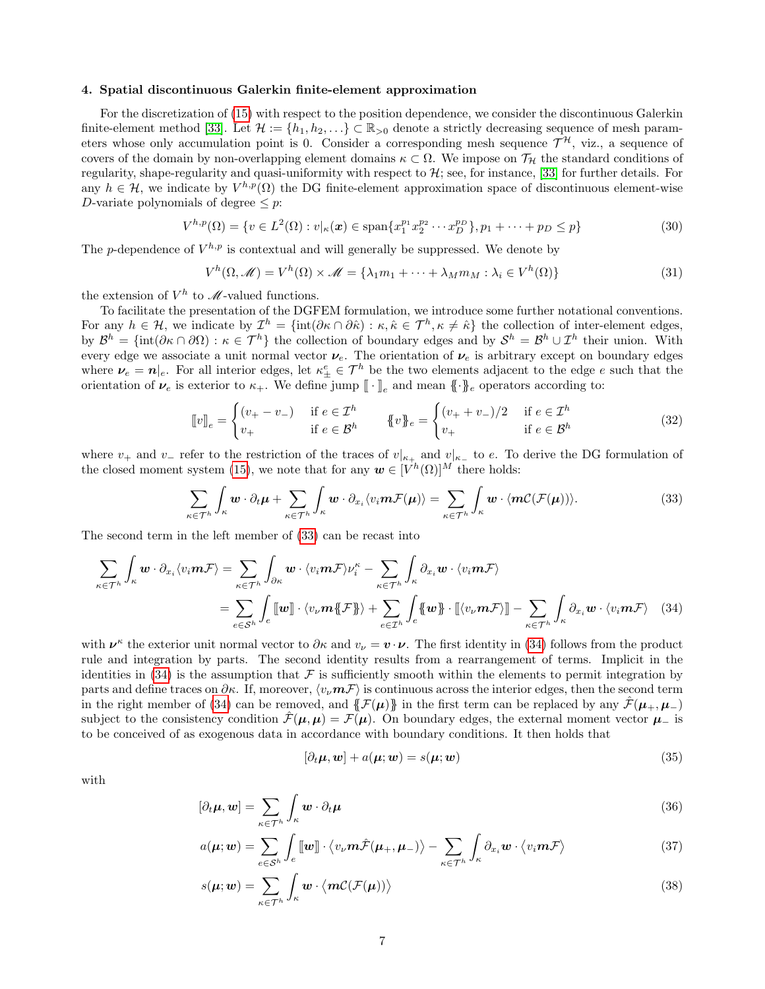# <span id="page-6-0"></span>4. Spatial discontinuous Galerkin finite-element approximation

For the discretization of [\(15\)](#page-3-3) with respect to the position dependence, we consider the discontinuous Galerkin finite-element method [\[33\]](#page-13-6). Let  $\mathcal{H} := \{h_1, h_2, \ldots\} \subset \mathbb{R}_{>0}$  denote a strictly decreasing sequence of mesh parameters whose only accumulation point is 0. Consider a corresponding mesh sequence  $\mathcal{T}^{\mathcal{H}}$ , viz., a sequence of covers of the domain by non-overlapping element domains  $\kappa \subset \Omega$ . We impose on  $\mathcal{T}_{\mathcal{H}}$  the standard conditions of regularity, shape-regularity and quasi-uniformity with respect to  $H$ ; see, for instance, [\[33\]](#page-13-6) for further details. For any  $h \in \mathcal{H}$ , we indicate by  $V^{h,p}(\Omega)$  the DG finite-element approximation space of discontinuous element-wise D-variate polynomials of degree  $\leq p$ :

$$
V^{h,p}(\Omega) = \{ v \in L^2(\Omega) : v|_{\kappa}(\boldsymbol{x}) \in \text{span}\{ x_1^{p_1} x_2^{p_2} \cdots x_D^{p_D} \}, p_1 + \cdots + p_D \le p \}
$$
(30)

The p-dependence of  $V^{h,p}$  is contextual and will generally be suppressed. We denote by

$$
V^h(\Omega, \mathcal{M}) = V^h(\Omega) \times \mathcal{M} = \{ \lambda_1 m_1 + \dots + \lambda_M m_M : \lambda_i \in V^h(\Omega) \}
$$
\n(31)

the extension of  $V^h$  to  $\mathcal{M}$ -valued functions.

To facilitate the presentation of the DGFEM formulation, we introduce some further notational conventions. For any  $h \in \mathcal{H}$ , we indicate by  $\mathcal{I}^h = \{\text{int}(\partial \kappa \cap \partial \hat{\kappa}) : \kappa, \hat{\kappa} \in \mathcal{T}^h, \kappa \neq \hat{\kappa}\}\$  the collection of inter-element edges, by  $\mathcal{B}^h = \{\text{int}(\partial \kappa \cap \partial \Omega) : \kappa \in \mathcal{T}^h\}$  the collection of boundary edges and by  $\mathcal{S}^h = \mathcal{B}^h \cup \mathcal{I}^h$  their union. With every edge we associate a unit normal vector  $\nu_e$ . The orientation of  $\nu_e$  is arbitrary except on boundary edges where  $\nu_e = n|_e$ . For all interior edges, let  $\kappa_{\pm}^e \in \mathcal{T}^h$  be the two elements adjacent to the edge e such that the orientation of  $\nu_e$  is exterior to  $\kappa_+$ . We define jump  $[\![\cdot]\!]_e$  and mean  $[\![\cdot]\!]_e$  operators according to:

<span id="page-6-1"></span>
$$
\llbracket v \rrbracket_e = \begin{cases} (v_+ - v_-) & \text{if } e \in \mathcal{I}^h \\ v_+ & \text{if } e \in \mathcal{B}^h \end{cases} \qquad \llbracket v \rrbracket_e = \begin{cases} (v_+ + v_-)/2 & \text{if } e \in \mathcal{I}^h \\ v_+ & \text{if } e \in \mathcal{B}^h \end{cases} \tag{32}
$$

where  $v_+$  and  $v_-\$  refer to the restriction of the traces of  $v|_{\kappa_+}$  and  $v|_{\kappa_-}$  to e. To derive the DG formulation of the closed moment system [\(15\)](#page-3-3), we note that for any  $w \in [V^h(\Omega)]^M$  there holds:

$$
\sum_{\kappa \in \mathcal{T}^h} \int_{\kappa} \boldsymbol{w} \cdot \partial_t \boldsymbol{\mu} + \sum_{\kappa \in \mathcal{T}^h} \int_{\kappa} \boldsymbol{w} \cdot \partial_{x_i} \langle v_i \boldsymbol{m} \mathcal{F}(\boldsymbol{\mu}) \rangle = \sum_{\kappa \in \mathcal{T}^h} \int_{\kappa} \boldsymbol{w} \cdot \langle \boldsymbol{m} \mathcal{C}(\mathcal{F}(\boldsymbol{\mu})) \rangle. \tag{33}
$$

The second term in the left member of [\(33\)](#page-6-1) can be recast into

$$
\sum_{\kappa \in \mathcal{T}^h} \int_{\kappa} \boldsymbol{w} \cdot \partial_{x_i} \langle v_i \boldsymbol{m} \mathcal{F} \rangle = \sum_{\kappa \in \mathcal{T}^h} \int_{\partial \kappa} \boldsymbol{w} \cdot \langle v_i \boldsymbol{m} \mathcal{F} \rangle \nu_i^{\kappa} - \sum_{\kappa \in \mathcal{T}^h} \int_{\kappa} \partial_{x_i} \boldsymbol{w} \cdot \langle v_i \boldsymbol{m} \mathcal{F} \rangle
$$
\n
$$
= \sum_{e \in \mathcal{S}^h} \int_{e} [\![\boldsymbol{w}]\!] \cdot \langle v_v \boldsymbol{m} \{\![\mathcal{F}]\!] \rangle + \sum_{e \in \mathcal{I}^h} \int_{e} \{\![\boldsymbol{w}]\!] \cdot [\![\langle v_v \boldsymbol{m} \mathcal{F} \rangle]\!] - \sum_{\kappa \in \mathcal{T}^h} \int_{\kappa} \partial_{x_i} \boldsymbol{w} \cdot \langle v_i \boldsymbol{m} \mathcal{F} \rangle \tag{34}
$$

with  $\nu^{\kappa}$  the exterior unit normal vector to  $\partial \kappa$  and  $v_{\nu} = \boldsymbol{v} \cdot \boldsymbol{\nu}$ . The first identity in [\(34\)](#page-6-2) follows from the product rule and integration by parts. The second identity results from a rearrangement of terms. Implicit in the identities in  $(34)$  is the assumption that F is sufficiently smooth within the elements to permit integration by parts and define traces on  $\partial \kappa$ . If, moreover,  $\langle v, m\mathcal{F} \rangle$  is continuous across the interior edges, then the second term in the right member of [\(34\)](#page-6-2) can be removed, and  $\{F(\mu)\}\$  in the first term can be replaced by any  $\hat{\mathcal{F}}(\mu_+,\mu_-)$ subject to the consistency condition  $\mathcal{F}(\mu,\mu) = \mathcal{F}(\mu)$ . On boundary edges, the external moment vector  $\mu_-$  is to be conceived of as exogenous data in accordance with boundary conditions. It then holds that

<span id="page-6-4"></span><span id="page-6-3"></span><span id="page-6-2"></span>
$$
[\partial_t \boldsymbol{\mu}, \boldsymbol{w}] + a(\boldsymbol{\mu}; \boldsymbol{w}) = s(\boldsymbol{\mu}; \boldsymbol{w}) \tag{35}
$$

with

$$
[\partial_t \mu, \mathbf{w}] = \sum_{\kappa \in \mathcal{T}^h} \int_{\kappa} \mathbf{w} \cdot \partial_t \mu \tag{36}
$$

$$
a(\boldsymbol{\mu}; \boldsymbol{w}) = \sum_{e \in \mathcal{S}^h} \int_e \llbracket \boldsymbol{w} \rrbracket \cdot \langle v_\nu \boldsymbol{m} \hat{\mathcal{F}}(\boldsymbol{\mu}_+, \boldsymbol{\mu}_-) \rangle - \sum_{\kappa \in \mathcal{T}^h} \int_{\kappa} \partial_{x_i} \boldsymbol{w} \cdot \langle v_i \boldsymbol{m} \mathcal{F} \rangle \tag{37}
$$

$$
s(\boldsymbol{\mu}; \boldsymbol{w}) = \sum_{\kappa \in \mathcal{T}^h} \int_{\kappa} \boldsymbol{w} \cdot \langle \boldsymbol{m} \mathcal{C}(\mathcal{F}(\boldsymbol{\mu})) \rangle \tag{38}
$$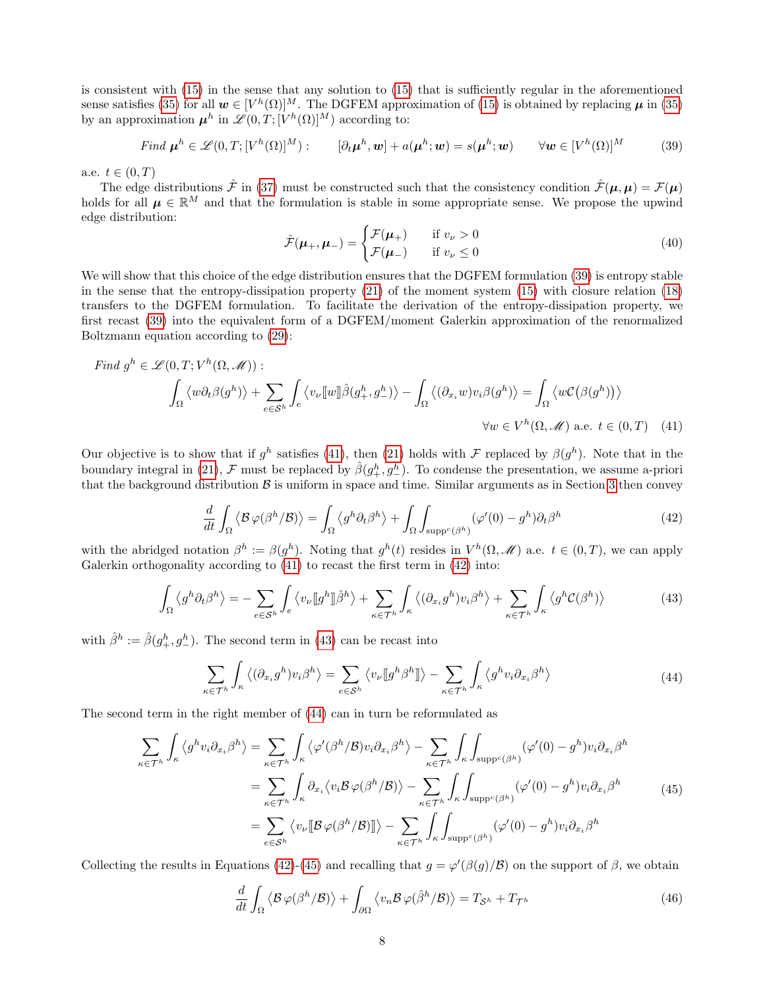is consistent with [\(15\)](#page-3-3) in the sense that any solution to [\(15\)](#page-3-3) that is sufficiently regular in the aforementioned sense satisfies [\(35\)](#page-6-3) for all  $w \in [V^h(\Omega)]^M$ . The DGFEM approximation of [\(15\)](#page-3-3) is obtained by replacing  $\mu$  in (35) by an approximation  $\mu^h$  in  $\mathscr{L}(0,T;[V^h(\Omega)]^M)$  according to:

Find 
$$
\boldsymbol{\mu}^h \in \mathscr{L}(0,T; [V^h(\Omega)]^M)
$$
:  $[\partial_t \boldsymbol{\mu}^h, \boldsymbol{w}] + a(\boldsymbol{\mu}^h; \boldsymbol{w}) = s(\boldsymbol{\mu}^h; \boldsymbol{w}) \qquad \forall \boldsymbol{w} \in [V^h(\Omega)]^M$  (39)

a.e.  $t \in (0, T)$ 

The edge distributions  $\hat{\mathcal{F}}$  in [\(37\)](#page-6-4) must be constructed such that the consistency condition  $\hat{\mathcal{F}}(\mu,\mu) = \mathcal{F}(\mu)$ holds for all  $\mu \in \mathbb{R}^M$  and that the formulation is stable in some appropriate sense. We propose the upwind edge distribution:

<span id="page-7-1"></span><span id="page-7-0"></span>
$$
\hat{\mathcal{F}}(\mu_+,\mu_-) = \begin{cases} \mathcal{F}(\mu_+) & \text{if } v_\nu > 0\\ \mathcal{F}(\mu_-) & \text{if } v_\nu \le 0 \end{cases}
$$
\n(40)

We will show that this choice of the edge distribution ensures that the DGFEM formulation [\(39\)](#page-7-0) is entropy stable in the sense that the entropy-dissipation property [\(21\)](#page-4-5) of the moment system [\(15\)](#page-3-3) with closure relation [\(18\)](#page-4-2) transfers to the DGFEM formulation. To facilitate the derivation of the entropy-dissipation property, we first recast [\(39\)](#page-7-0) into the equivalent form of a DGFEM/moment Galerkin approximation of the renormalized Boltzmann equation according to [\(29\)](#page-5-5):

Find 
$$
g^h \in \mathscr{L}(0,T; V^h(\Omega, \mathscr{M}))
$$
:  
\n
$$
\int_{\Omega} \langle w \partial_t \beta(g^h) \rangle + \sum_{e \in \mathcal{S}^h} \int_e \langle v_\nu[[w]] \hat{\beta}(g^h_+, g^h_-) \rangle - \int_{\Omega} \langle (\partial_{x_i} w) v_i \beta(g^h) \rangle = \int_{\Omega} \langle w \mathcal{C}(\beta(g^h)) \rangle
$$
\n
$$
\forall w \in V^h(\Omega, \mathscr{M}) \text{ a.e. } t \in (0,T) \quad (41)
$$

<span id="page-7-2"></span>Our objective is to show that if  $g^h$  satisfies [\(41\)](#page-7-1), then [\(21\)](#page-4-5) holds with F replaced by  $\beta(g^h)$ . Note that in the boundary integral in [\(21\)](#page-4-5),  $\mathcal{F}$  must be replaced by  $\hat{\beta}(g_+^h, g_-^h)$ . To condense the presentation, we assume a-priori that the background distribution  $\beta$  is uniform in space and time. Similar arguments as in Section [3](#page-3-0) then convey

<span id="page-7-3"></span>
$$
\frac{d}{dt} \int_{\Omega} \left\langle \mathcal{B} \varphi(\beta^h/\mathcal{B}) \right\rangle = \int_{\Omega} \left\langle g^h \partial_t \beta^h \right\rangle + \int_{\Omega} \int_{\text{supp}^c(\beta^h)} (\varphi'(0) - g^h) \partial_t \beta^h \tag{42}
$$

with the abridged notation  $\beta^h := \beta(g^h)$ . Noting that  $g^h(t)$  resides in  $V^h(\Omega, \mathcal{M})$  a.e.  $t \in (0, T)$ , we can apply Galerkin orthogonality according to  $(41)$  to recast the first term in  $(42)$  into:

$$
\int_{\Omega} \left\langle g^h \partial_t \beta^h \right\rangle = - \sum_{e \in \mathcal{S}^h} \int_e \left\langle v_\nu [g^h] \hat{\beta}^h \right\rangle + \sum_{\kappa \in \mathcal{T}^h} \int_\kappa \left\langle (\partial_{x_i} g^h) v_i \beta^h \right\rangle + \sum_{\kappa \in \mathcal{T}^h} \int_\kappa \left\langle g^h \mathcal{C}(\beta^h) \right\rangle \tag{43}
$$

with  $\hat{\beta}^h := \hat{\beta}(g_+^h, g_-^h)$ . The second term in [\(43\)](#page-7-3) can be recast into

<span id="page-7-5"></span><span id="page-7-4"></span>
$$
\sum_{\kappa \in \mathcal{T}^h} \int_{\kappa} \left\langle (\partial_{x_i} g^h) v_i \beta^h \right\rangle = \sum_{e \in \mathcal{S}^h} \left\langle v_\nu [g^h \beta^h] \right\rangle - \sum_{\kappa \in \mathcal{T}^h} \int_{\kappa} \left\langle g^h v_i \partial_{x_i} \beta^h \right\rangle \tag{44}
$$

The second term in the right member of [\(44\)](#page-7-4) can in turn be reformulated as

$$
\sum_{\kappa \in \mathcal{T}^h} \int_{\kappa} \langle g^h v_i \partial_{x_i} \beta^h \rangle = \sum_{\kappa \in \mathcal{T}^h} \int_{\kappa} \langle \varphi'(\beta^h/\beta) v_i \partial_{x_i} \beta^h \rangle - \sum_{\kappa \in \mathcal{T}^h} \int_{\kappa} \int_{\text{supp}^c(\beta^h)} (\varphi'(0) - g^h) v_i \partial_{x_i} \beta^h
$$
  
\n
$$
= \sum_{\kappa \in \mathcal{T}^h} \int_{\kappa} \partial_{x_i} \langle v_i \mathcal{B} \varphi(\beta^h/\beta) \rangle - \sum_{\kappa \in \mathcal{T}^h} \int_{\kappa} \int_{\text{supp}^c(\beta^h)} (\varphi'(0) - g^h) v_i \partial_{x_i} \beta^h
$$
  
\n
$$
= \sum_{e \in \mathcal{S}^h} \langle v_v [[\mathcal{B} \varphi(\beta^h/\beta)]] \rangle - \sum_{\kappa \in \mathcal{T}^h} \int_{\kappa} \int_{\text{supp}^c(\beta^h)} (\varphi'(0) - g^h) v_i \partial_{x_i} \beta^h
$$
 (45)

Collecting the results in Equations [\(42\)](#page-7-2)-[\(45\)](#page-7-5) and recalling that  $g = \varphi'(\beta(g)/\beta)$  on the support of  $\beta$ , we obtain

<span id="page-7-6"></span>
$$
\frac{d}{dt} \int_{\Omega} \left\langle \mathcal{B} \varphi(\beta^h/\mathcal{B}) \right\rangle + \int_{\partial \Omega} \left\langle v_n \mathcal{B} \varphi(\hat{\beta}^h/\mathcal{B}) \right\rangle = T_{\mathcal{S}^h} + T_{\mathcal{T}^h}
$$
\n(46)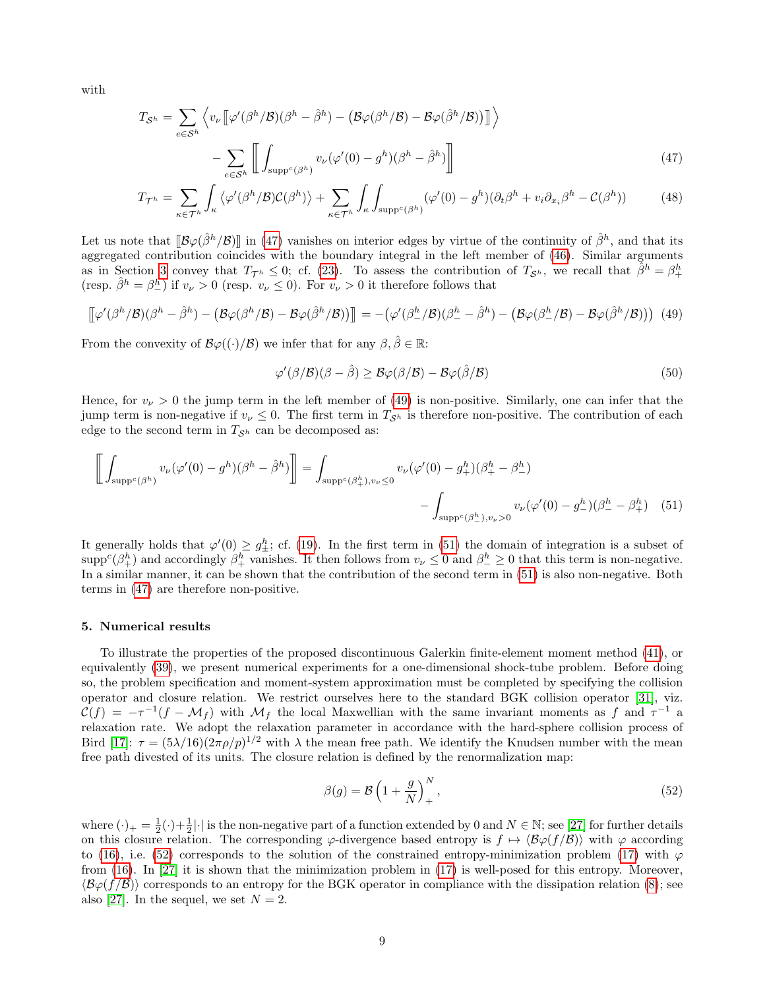with

$$
T_{\mathcal{S}^h} = \sum_{e \in \mathcal{S}^h} \left\langle v_{\nu} \left[ \varphi'(\beta^h/\beta)(\beta^h - \hat{\beta}^h) - \left( \mathcal{B}\varphi(\beta^h/\beta) - \mathcal{B}\varphi(\hat{\beta}^h/\beta) \right) \right] \right\rangle
$$

$$
- \sum_{e \in \mathcal{S}^h} \left[ \int_{\text{supp}^c(\beta^h)} v_{\nu}(\varphi'(0) - g^h)(\beta^h - \hat{\beta}^h) \right]
$$
(47)

$$
T_{\mathcal{T}^h} = \sum_{\kappa \in \mathcal{T}^h} \int_{\kappa} \left\langle \varphi'(\beta^h/\beta) \mathcal{C}(\beta^h) \right\rangle + \sum_{\kappa \in \mathcal{T}^h} \int_{\kappa} \int_{\text{supp}^c(\beta^h)} (\varphi'(0) - g^h)(\partial_t \beta^h + v_i \partial_{x_i} \beta^h - \mathcal{C}(\beta^h)) \tag{48}
$$

Let us note that  $[\mathcal{B}\varphi(\hat{\beta}^h/\mathcal{B})]$  in [\(47\)](#page-8-1) vanishes on interior edges by virtue of the continuity of  $\hat{\beta}^h$ , and that its aggregated contribution coincides with the boundary integral in the left member of [\(46\)](#page-7-6). Similar arguments as in Section [3](#page-3-0) convey that  $T_{\mathcal{T}^h} \leq 0$ ; cf. [\(23\)](#page-4-3). To assess the contribution of  $T_{\mathcal{S}^h}$ , we recall that  $\tilde{\beta}^h = \beta_+^h$ (resp.  $\hat{\beta}^h = \beta_-^h$ ) if  $v_\nu > 0$  (resp.  $v_\nu \leq 0$ ). For  $v_\nu > 0$  it therefore follows that

$$
\left[\n\varphi'(\beta^h/\beta)(\beta^h - \hat{\beta}^h) - \left(\mathcal{B}\varphi(\beta^h/\beta) - \mathcal{B}\varphi(\hat{\beta}^h/\beta)\right)\right]\n= - \left(\varphi'(\beta^h_-/\beta)(\beta^h_- - \hat{\beta}^h) - \left(\mathcal{B}\varphi(\beta^h_-/\beta) - \mathcal{B}\varphi(\hat{\beta}^h/\beta)\right)\right)
$$
(49)

From the convexity of  $\mathcal{B}\varphi(\cdot)/\mathcal{B}$  we infer that for any  $\beta, \hat{\beta} \in \mathbb{R}$ :

<span id="page-8-3"></span><span id="page-8-2"></span><span id="page-8-1"></span>
$$
\varphi'(\beta/\mathcal{B})(\beta - \hat{\beta}) \ge \mathcal{B}\varphi(\beta/\mathcal{B}) - \mathcal{B}\varphi(\hat{\beta}/\mathcal{B})
$$
\n(50)

Hence, for  $v_{\nu} > 0$  the jump term in the left member of [\(49\)](#page-8-2) is non-positive. Similarly, one can infer that the jump term is non-negative if  $v_{\nu} \leq 0$ . The first term in  $T_{\mathcal{S}^h}$  is therefore non-positive. The contribution of each edge to the second term in  $T_{\mathcal{S}^h}$  can be decomposed as:

$$
\left[ \int_{\text{supp}^c(\beta^h)} v_{\nu}(\varphi'(0) - g^h)(\beta^h - \hat{\beta}^h) \right] = \int_{\text{supp}^c(\beta_+^h), v_{\nu} \le 0} v_{\nu}(\varphi'(0) - g_+^h)(\beta_+^h - \beta_-^h) - \int_{\text{supp}^c(\beta_-^h), v_{\nu} > 0} v_{\nu}(\varphi'(0) - g_-^h)(\beta_-^h - \beta_+^h) \tag{51}
$$

It generally holds that  $\varphi'(0) \geq g_{\pm}^h$ ; cf. [\(19\)](#page-4-1). In the first term in [\(51\)](#page-8-3) the domain of integration is a subset of  $\supp^c(\beta_+^h)$  and accordingly  $\beta_+^h$  vanishes. It then follows from  $v_\nu \leq 0$  and  $\beta_-^h \geq 0$  that this term is non-negative. In a similar manner, it can be shown that the contribution of the second term in [\(51\)](#page-8-3) is also non-negative. Both terms in [\(47\)](#page-8-1) are therefore non-positive.

## <span id="page-8-0"></span>5. Numerical results

To illustrate the properties of the proposed discontinuous Galerkin finite-element moment method [\(41\)](#page-7-1), or equivalently [\(39\)](#page-7-0), we present numerical experiments for a one-dimensional shock-tube problem. Before doing so, the problem specification and moment-system approximation must be completed by specifying the collision operator and closure relation. We restrict ourselves here to the standard BGK collision operator [\[31\]](#page-13-4), viz.  $\mathcal{C}(f) = -\tau^{-1}(f - \mathcal{M}_f)$  with  $\mathcal{M}_f$  the local Maxwellian with the same invariant moments as f and  $\tau^{-1}$  a relaxation rate. We adopt the relaxation parameter in accordance with the hard-sphere collision process of Bird [\[17\]](#page-12-13):  $\tau = (5\lambda/16)(2\pi\rho/p)^{1/2}$  with  $\lambda$  the mean free path. We identify the Knudsen number with the mean free path divested of its units. The closure relation is defined by the renormalization map:

<span id="page-8-4"></span>
$$
\beta(g) = \mathcal{B}\left(1 + \frac{g}{N}\right)_+^N,\tag{52}
$$

where  $(\cdot)_+ = \frac{1}{2}(\cdot) + \frac{1}{2}|\cdot|$  is the non-negative part of a function extended by 0 and  $N \in \mathbb{N}$ ; see [\[27\]](#page-13-0) for further details on this closure relation. The corresponding  $\varphi$ -divergence based entropy is  $f \mapsto \langle \mathcal{B}\varphi(f/\mathcal{B}) \rangle$  with  $\varphi$  according to [\(16\)](#page-4-6), i.e. [\(52\)](#page-8-4) corresponds to the solution of the constrained entropy-minimization problem [\(17\)](#page-4-0) with  $\varphi$ from [\(16\)](#page-4-6). In [\[27\]](#page-13-0) it is shown that the minimization problem in [\(17\)](#page-4-0) is well-posed for this entropy. Moreover,  $\langle B\varphi(f/\mathcal{B})\rangle$  corresponds to an entropy for the BGK operator in compliance with the dissipation relation [\(8\)](#page-2-2); see also [\[27\]](#page-13-0). In the sequel, we set  $N = 2$ .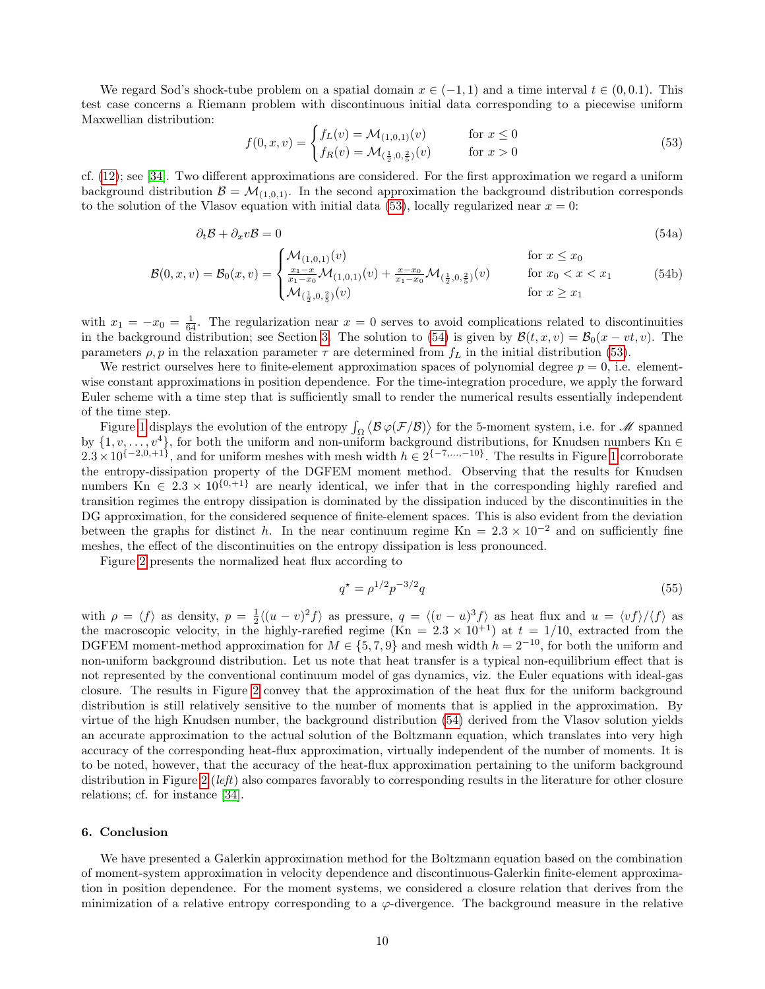We regard Sod's shock-tube problem on a spatial domain  $x \in (-1,1)$  and a time interval  $t \in (0,0.1)$ . This test case concerns a Riemann problem with discontinuous initial data corresponding to a piecewise uniform Maxwellian distribution:

<span id="page-9-2"></span><span id="page-9-1"></span>
$$
f(0, x, v) = \begin{cases} f_L(v) = \mathcal{M}_{(1,0,1)}(v) & \text{for } x \le 0\\ f_R(v) = \mathcal{M}_{(\frac{1}{2},0,\frac{2}{5})}(v) & \text{for } x > 0 \end{cases}
$$
(53)

cf. [\(12\)](#page-2-8); see [\[34\]](#page-13-7). Two different approximations are considered. For the first approximation we regard a uniform background distribution  $\mathcal{B} = \mathcal{M}_{(1,0,1)}$ . In the second approximation the background distribution corresponds to the solution of the Vlasov equation with initial data [\(53\)](#page-9-1), locally regularized near  $x = 0$ :

$$
\partial_t \mathcal{B} + \partial_x v \mathcal{B} = 0 \tag{54a}
$$

$$
\mathcal{B}(0,x,v) = \mathcal{B}_0(x,v) = \begin{cases} \mathcal{M}_{(1,0,1)}(v) & \text{for } x \le x_0\\ \frac{x_1 - x}{x_1 - x_0} \mathcal{M}_{(1,0,1)}(v) + \frac{x - x_0}{x_1 - x_0} \mathcal{M}_{(\frac{1}{2},0,\frac{2}{5})}(v) & \text{for } x_0 < x < x_1\\ \mathcal{M}_{(\frac{1}{2},0,\frac{2}{5})}(v) & \text{for } x \ge x_1 \end{cases} \tag{54b}
$$

with  $x_1 = -x_0 = \frac{1}{64}$ . The regularization near  $x = 0$  serves to avoid complications related to discontinuities in the background distribution; see Section [3.](#page-3-0) The solution to [\(54\)](#page-9-2) is given by  $\mathcal{B}(t, x, v) = \mathcal{B}_0(x - vt, v)$ . The parameters  $\rho$ , p in the relaxation parameter  $\tau$  are determined from  $f_L$  in the initial distribution [\(53\)](#page-9-1).

We restrict ourselves here to finite-element approximation spaces of polynomial degree  $p = 0$ , i.e. elementwise constant approximations in position dependence. For the time-integration procedure, we apply the forward Euler scheme with a time step that is sufficiently small to render the numerical results essentially independent of the time step.

Figure [1](#page-10-0) displays the evolution of the entropy  $\int_{\Omega} \langle \mathcal{B} \varphi(\mathcal{F}/\mathcal{B}) \rangle$  for the 5-moment system, i.e. for M spanned by  $\{1, v, \ldots, v^4\}$ , for both the uniform and non-uniform background distributions, for Knudsen numbers Kn ∈  $2.3 \times 10^{\{-2,0,+\frac{1}{2}\}}$  $2.3 \times 10^{\{-2,0,+\frac{1}{2}\}}$  $2.3 \times 10^{\{-2,0,+\frac{1}{2}\}}$ , and for uniform meshes with mesh width  $h \in 2^{\{-7,\dots,-10\}}$ . The results in Figure 1 corroborate the entropy-dissipation property of the DGFEM moment method. Observing that the results for Knudsen numbers  $\text{Kn} \in 2.3 \times 10^{\{0, +1\}}$  are nearly identical, we infer that in the corresponding highly rarefied and transition regimes the entropy dissipation is dominated by the dissipation induced by the discontinuities in the DG approximation, for the considered sequence of finite-element spaces. This is also evident from the deviation between the graphs for distinct h. In the near continuum regime Kn =  $2.3 \times 10^{-2}$  and on sufficiently fine meshes, the effect of the discontinuities on the entropy dissipation is less pronounced.

Figure [2](#page-11-3) presents the normalized heat flux according to

<span id="page-9-3"></span>
$$
q^* = \rho^{1/2} p^{-3/2} q \tag{55}
$$

with  $\rho = \langle f \rangle$  as density,  $p = \frac{1}{2} \langle (u - v)^2 f \rangle$  as pressure,  $q = \langle (v - u)^3 f \rangle$  as heat flux and  $u = \langle v f \rangle / \langle f \rangle$  as the macroscopic velocity, in the highly-rarefied regime (Kn =  $2.3 \times 10^{+1}$ ) at  $t = 1/10$ , extracted from the DGFEM moment-method approximation for  $M \in \{5, 7, 9\}$  and mesh width  $h = 2^{-10}$ , for both the uniform and non-uniform background distribution. Let us note that heat transfer is a typical non-equilibrium effect that is not represented by the conventional continuum model of gas dynamics, viz. the Euler equations with ideal-gas closure. The results in Figure [2](#page-11-3) convey that the approximation of the heat flux for the uniform background distribution is still relatively sensitive to the number of moments that is applied in the approximation. By virtue of the high Knudsen number, the background distribution [\(54\)](#page-9-2) derived from the Vlasov solution yields an accurate approximation to the actual solution of the Boltzmann equation, which translates into very high accuracy of the corresponding heat-flux approximation, virtually independent of the number of moments. It is to be noted, however, that the accuracy of the heat-flux approximation pertaining to the uniform background distribution in Figure [2](#page-11-3) (*left*) also compares favorably to corresponding results in the literature for other closure relations; cf. for instance [\[34\]](#page-13-7).

## <span id="page-9-0"></span>6. Conclusion

We have presented a Galerkin approximation method for the Boltzmann equation based on the combination of moment-system approximation in velocity dependence and discontinuous-Galerkin finite-element approximation in position dependence. For the moment systems, we considered a closure relation that derives from the minimization of a relative entropy corresponding to a  $\varphi$ -divergence. The background measure in the relative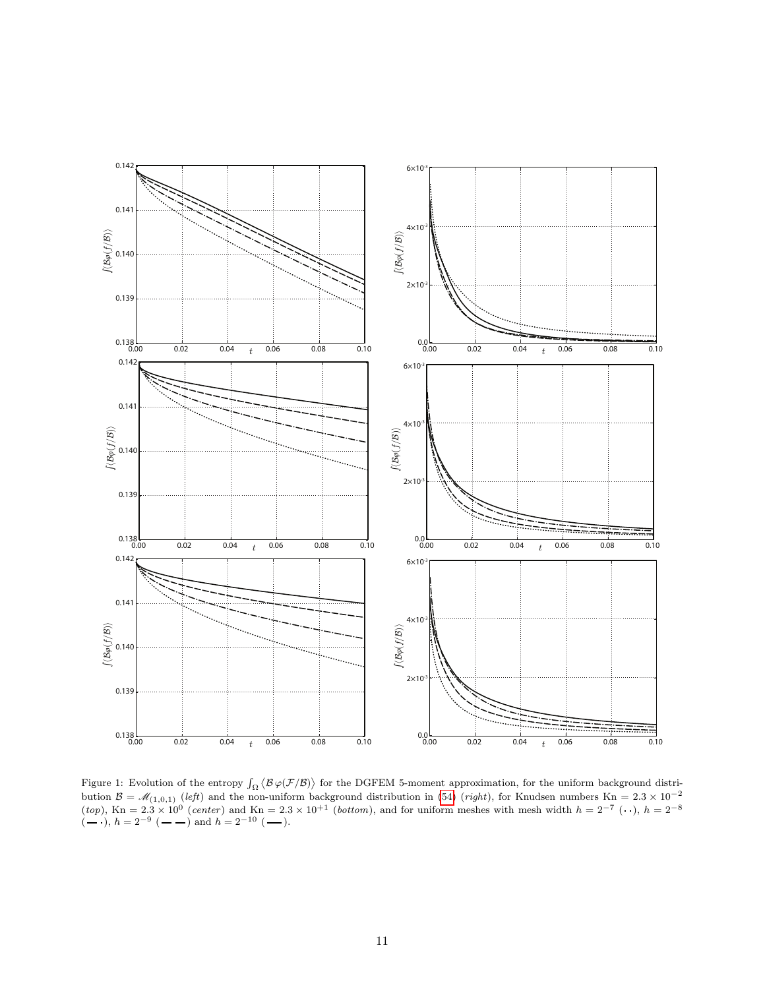

<span id="page-10-0"></span>Figure 1: Evolution of the entropy  $\int_{\Omega} \langle \mathcal{B} \varphi(\mathcal{F}/\mathcal{B}) \rangle$  for the DGFEM 5-moment approximation, for the uniform background distribution  $\mathcal{B} = \mathcal{M}_{(1,0,1)}$  (left) and the non-uniform background distribution in [\(54\)](#page-9-2) (*right*), for Knudsen numbers Kn = 2.3 × 10<sup>-2</sup>  $(top)$ , Kn = 2.3 × 10<sup>0</sup> (center) and Kn = 2.3 × 10<sup>+1</sup> (bottom), and for uniform meshes with mesh width  $h = 2^{-7}$  ( $\cdot \cdot$ ),  $h = 2^{-8}$  $(-\cdot), h = 2^{-9}$   $(-\cdot)$  and  $h = 2^{-10}$   $(-\cdot)$ .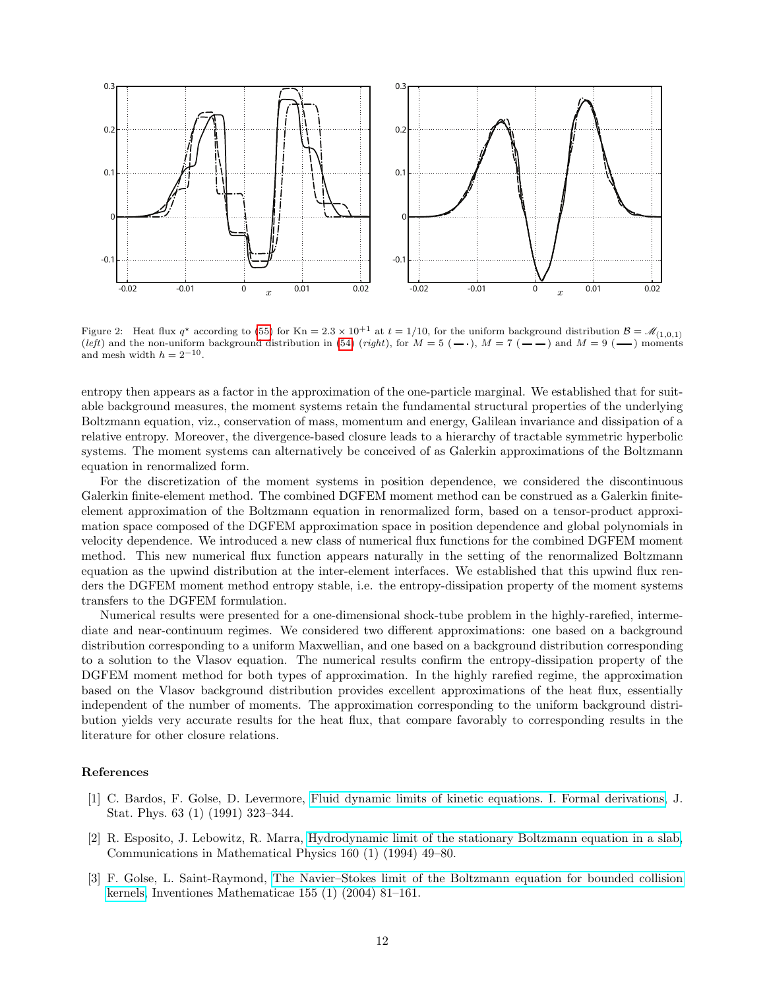

<span id="page-11-3"></span>Figure 2: Heat flux  $q^*$  according to [\(55\)](#page-9-3) for Kn = 2.3 × 10<sup>+1</sup> at  $t = 1/10$ , for the uniform background distribution  $\mathcal{B} = \mathcal{M}_{(1,0,1)}$ (left) and the non-uniform background distribution in [\(54\)](#page-9-2) (right), for  $M = 5$  ( $\rightarrow$ ),  $M = 7$  ( $\rightarrow$ ) and  $M = 9$  ( $\rightarrow$ ) moments and mesh width  $h = 2^{-10}$ .

entropy then appears as a factor in the approximation of the one-particle marginal. We established that for suitable background measures, the moment systems retain the fundamental structural properties of the underlying Boltzmann equation, viz., conservation of mass, momentum and energy, Galilean invariance and dissipation of a relative entropy. Moreover, the divergence-based closure leads to a hierarchy of tractable symmetric hyperbolic systems. The moment systems can alternatively be conceived of as Galerkin approximations of the Boltzmann equation in renormalized form.

For the discretization of the moment systems in position dependence, we considered the discontinuous Galerkin finite-element method. The combined DGFEM moment method can be construed as a Galerkin finiteelement approximation of the Boltzmann equation in renormalized form, based on a tensor-product approximation space composed of the DGFEM approximation space in position dependence and global polynomials in velocity dependence. We introduced a new class of numerical flux functions for the combined DGFEM moment method. This new numerical flux function appears naturally in the setting of the renormalized Boltzmann equation as the upwind distribution at the inter-element interfaces. We established that this upwind flux renders the DGFEM moment method entropy stable, i.e. the entropy-dissipation property of the moment systems transfers to the DGFEM formulation.

Numerical results were presented for a one-dimensional shock-tube problem in the highly-rarefied, intermediate and near-continuum regimes. We considered two different approximations: one based on a background distribution corresponding to a uniform Maxwellian, and one based on a background distribution corresponding to a solution to the Vlasov equation. The numerical results confirm the entropy-dissipation property of the DGFEM moment method for both types of approximation. In the highly rarefied regime, the approximation based on the Vlasov background distribution provides excellent approximations of the heat flux, essentially independent of the number of moments. The approximation corresponding to the uniform background distribution yields very accurate results for the heat flux, that compare favorably to corresponding results in the literature for other closure relations.

# References

- <span id="page-11-0"></span>[1] C. Bardos, F. Golse, D. Levermore, [Fluid dynamic limits of kinetic equations. I. Formal derivations,](http://dx.doi.org/10.1007/BF01026608) J. Stat. Phys. 63 (1) (1991) 323–344.
- <span id="page-11-1"></span>[2] R. Esposito, J. Lebowitz, R. Marra, [Hydrodynamic limit of the stationary Boltzmann equation in a slab,](http://dx.doi.org/10.1007/BF02099789) Communications in Mathematical Physics 160 (1) (1994) 49–80.
- <span id="page-11-2"></span>[3] F. Golse, L. Saint-Raymond, [The Navier–Stokes limit of the Boltzmann equation for bounded collision](http://dx.doi.org/10.1007/s00222-003-0316-5) [kernels,](http://dx.doi.org/10.1007/s00222-003-0316-5) Inventiones Mathematicae 155 (1) (2004) 81–161.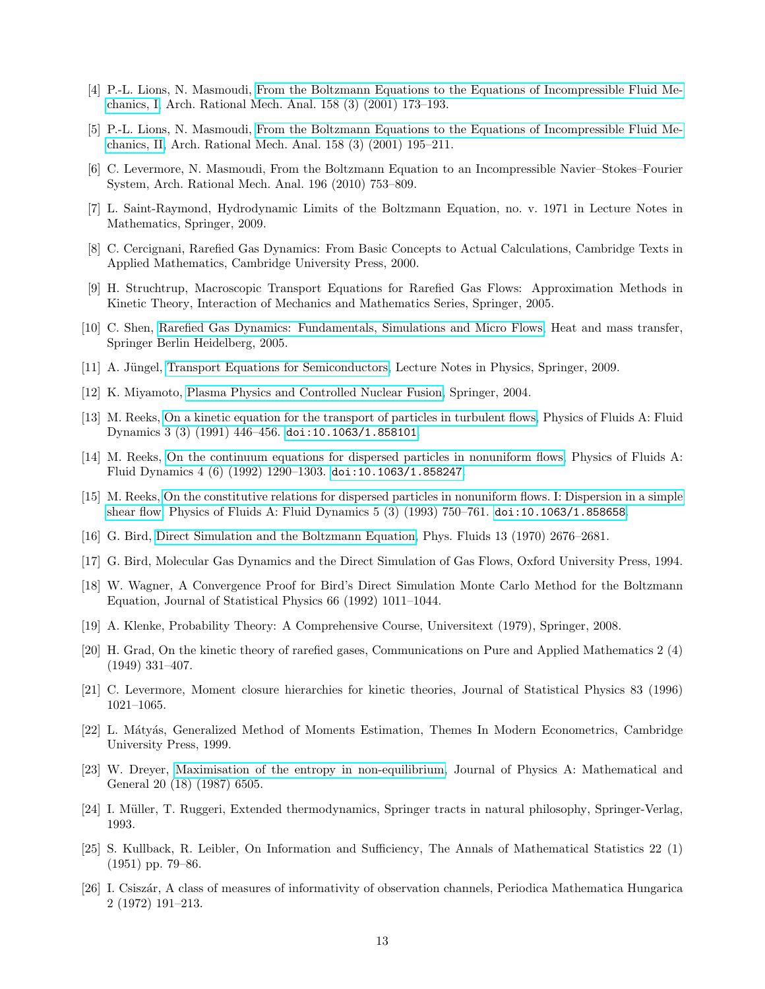- <span id="page-12-0"></span>[4] P.-L. Lions, N. Masmoudi, [From the Boltzmann Equations to the Equations of Incompressible Fluid Me](http://dx.doi.org/10.1007/s002050100143)[chanics, I,](http://dx.doi.org/10.1007/s002050100143) Arch. Rational Mech. Anal. 158 (3) (2001) 173–193.
- <span id="page-12-1"></span>[5] P.-L. Lions, N. Masmoudi, [From the Boltzmann Equations to the Equations of Incompressible Fluid Me](http://dx.doi.org/10.1007/s002050100144)[chanics, II,](http://dx.doi.org/10.1007/s002050100144) Arch. Rational Mech. Anal. 158 (3) (2001) 195–211.
- <span id="page-12-2"></span>[6] C. Levermore, N. Masmoudi, From the Boltzmann Equation to an Incompressible Navier–Stokes–Fourier System, Arch. Rational Mech. Anal. 196 (2010) 753–809.
- <span id="page-12-3"></span>[7] L. Saint-Raymond, Hydrodynamic Limits of the Boltzmann Equation, no. v. 1971 in Lecture Notes in Mathematics, Springer, 2009.
- <span id="page-12-4"></span>[8] C. Cercignani, Rarefied Gas Dynamics: From Basic Concepts to Actual Calculations, Cambridge Texts in Applied Mathematics, Cambridge University Press, 2000.
- <span id="page-12-5"></span>[9] H. Struchtrup, Macroscopic Transport Equations for Rarefied Gas Flows: Approximation Methods in Kinetic Theory, Interaction of Mechanics and Mathematics Series, Springer, 2005.
- <span id="page-12-6"></span>[10] C. Shen, [Rarefied Gas Dynamics: Fundamentals, Simulations and Micro Flows,](http://books.google.de/books?id=GdJpYCwMDR0C) Heat and mass transfer, Springer Berlin Heidelberg, 2005.
- <span id="page-12-7"></span>[11] A. Jüngel, [Transport Equations for Semiconductors,](http://books.google.de/books?id=d6YIyevAQG4C) Lecture Notes in Physics, Springer, 2009.
- <span id="page-12-8"></span>[12] K. Miyamoto, [Plasma Physics and Controlled Nuclear Fusion,](http://books.google.de/books?id=-tLq4hzVnN8C) Springer, 2004.
- <span id="page-12-9"></span>[13] M. Reeks, [On a kinetic equation for the transport of particles in turbulent flows,](http://link.aip.org/link/?PFA/3/446/1) Physics of Fluids A: Fluid Dynamics 3 (3) (1991) 446–456. [doi:10.1063/1.858101](http://dx.doi.org/10.1063/1.858101).
- <span id="page-12-10"></span>[14] M. Reeks, [On the continuum equations for dispersed particles in nonuniform flows,](http://link.aip.org/link/?PFA/4/1290/1) Physics of Fluids A: Fluid Dynamics 4 (6) (1992) 1290–1303. [doi:10.1063/1.858247](http://dx.doi.org/10.1063/1.858247).
- <span id="page-12-11"></span>[15] M. Reeks, [On the constitutive relations for dispersed particles in nonuniform flows. I: Dispersion in a simple](http://link.aip.org/link/?PFA/5/750/1) [shear flow,](http://link.aip.org/link/?PFA/5/750/1) Physics of Fluids A: Fluid Dynamics 5 (3) (1993) 750–761. [doi:10.1063/1.858658](http://dx.doi.org/10.1063/1.858658).
- <span id="page-12-12"></span>[16] G. Bird, [Direct Simulation and the Boltzmann Equation,](http://link.aip.org/link/?PFL/13/2676/1) Phys. Fluids 13 (1970) 2676–2681.
- <span id="page-12-13"></span>[17] G. Bird, Molecular Gas Dynamics and the Direct Simulation of Gas Flows, Oxford University Press, 1994.
- <span id="page-12-14"></span>[18] W. Wagner, A Convergence Proof for Bird's Direct Simulation Monte Carlo Method for the Boltzmann Equation, Journal of Statistical Physics 66 (1992) 1011–1044.
- <span id="page-12-15"></span>[19] A. Klenke, Probability Theory: A Comprehensive Course, Universitext (1979), Springer, 2008.
- <span id="page-12-16"></span>[20] H. Grad, On the kinetic theory of rarefied gases, Communications on Pure and Applied Mathematics 2 (4) (1949) 331–407.
- <span id="page-12-17"></span>[21] C. Levermore, Moment closure hierarchies for kinetic theories, Journal of Statistical Physics 83 (1996) 1021–1065.
- <span id="page-12-18"></span>[22] L. Mátyás, Generalized Method of Moments Estimation, Themes In Modern Econometrics, Cambridge University Press, 1999.
- <span id="page-12-19"></span>[23] W. Dreyer, [Maximisation of the entropy in non-equilibrium,](http://stacks.iop.org/0305-4470/20/i=18/a=047) Journal of Physics A: Mathematical and General 20 (18) (1987) 6505.
- <span id="page-12-20"></span>[24] I. Müller, T. Ruggeri, Extended thermodynamics, Springer tracts in natural philosophy, Springer-Verlag, 1993.
- <span id="page-12-21"></span>[25] S. Kullback, R. Leibler, On Information and Sufficiency, The Annals of Mathematical Statistics 22 (1) (1951) pp. 79–86.
- <span id="page-12-22"></span>[26] I. Csisz´ar, A class of measures of informativity of observation channels, Periodica Mathematica Hungarica 2 (1972) 191–213.